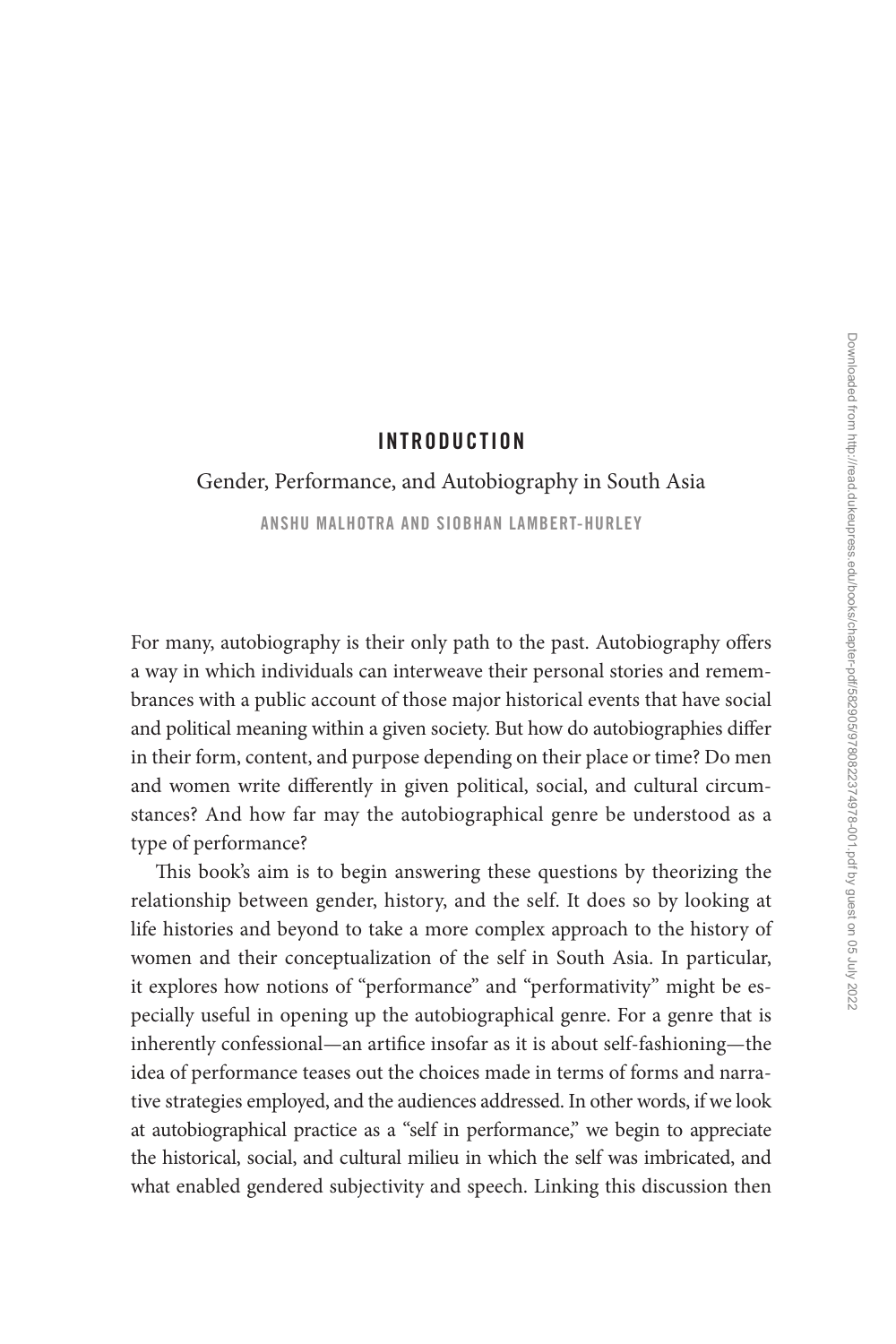# INTRODUCTION

#### [Gender, Performance, and Autobiography in South Asia](#page--1-0)

ANSHU MALHOTRA AND SIOBHAN LAMBERT-HURLEY

For many, autobiography is their only path to the past. Autobiography offers a way in which individuals can interweave their personal stories and remembrances with a public account of those major historical events that have social and political meaning within a given society. But how do autobiographies differ in their form, content, and purpose depending on their place or time? Do men and women write differently in given political, social, and cultural circumstances? And how far may the autobiographical genre be understood as a type of performance?

This book's aim is to begin answering these questions by theorizing the relationship between gender, history, and the self. It does so by looking at life histories and beyond to take a more complex approach to the history of women and their conceptualization of the self in South Asia. In particular, it explores how notions of "performance" and "performativity" might be especially useful in opening up the autobiographical genre. For a genre that is inherently confessional—an artifice insofar as it is about self-fashioning—the idea of performance teases out the choices made in terms of forms and narrative strategies employed, and the audiences addressed. In other words, if we look at autobiographical practice as a "self in performance," we begin to appreciate the historical, social, and cultural milieu in which the self was imbricated, and what enabled gendered subjectivity and speech. Linking this discussion then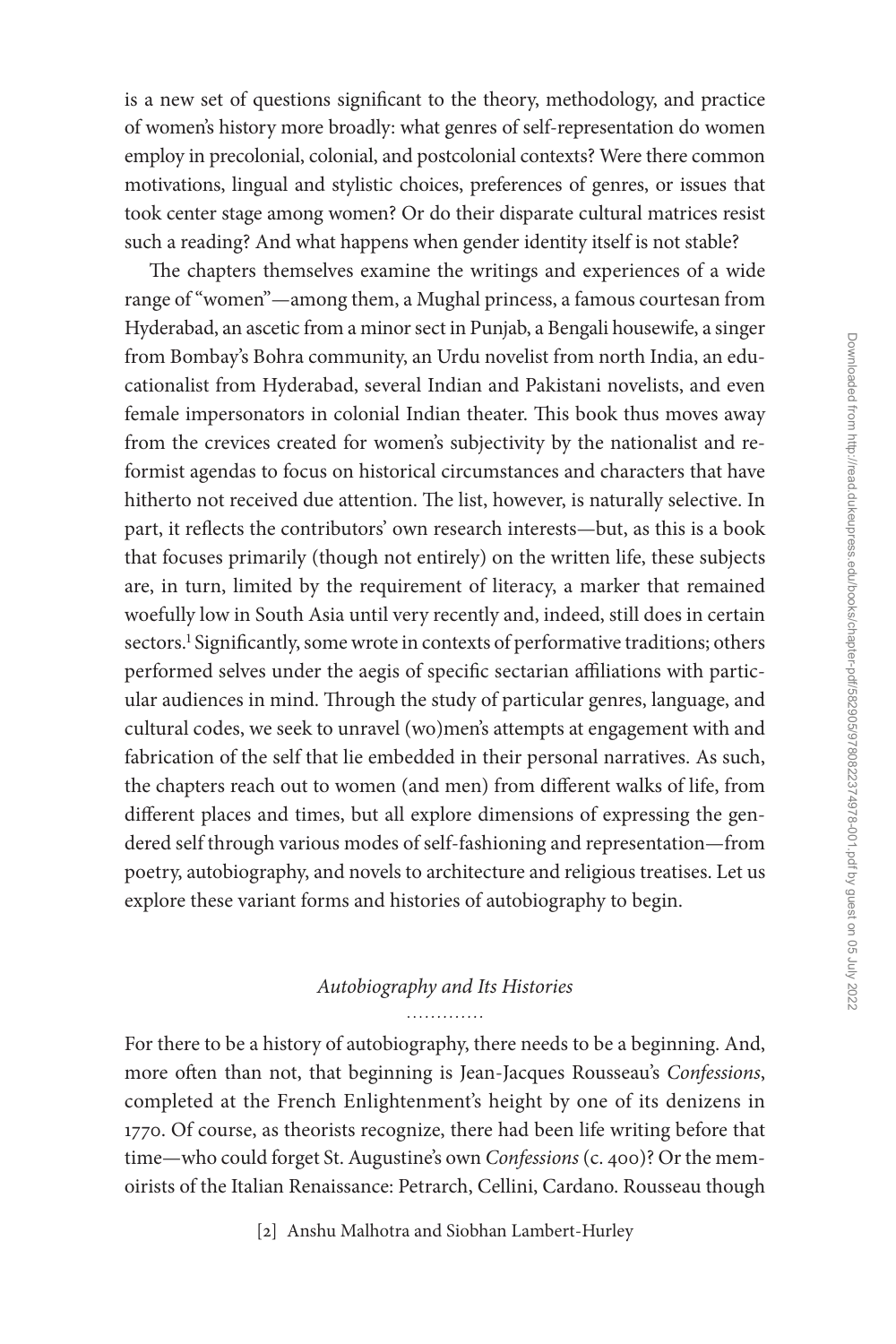is a new set of questions significant to the theory, methodology, and practice of women's history more broadly: what genres of self-representation do women employ in precolonial, colonial, and postcolonial contexts? Were there common motivations, lingual and stylistic choices, preferences of genres, or issues that took center stage among women? Or do their disparate cultural matrices resist such a reading? And what happens when gender identity itself is not stable?

The chapters themselves examine the writings and experiences of a wide range of "women"—among them, a Mughal princess, a famous courtesan from Hyderabad, an ascetic from a minor sect in Punjab, a Bengali housewife, a singer from Bombay's Bohra community, an Urdu novelist from north India, an educationalist from Hyderabad, several Indian and Pakistani novelists, and even female impersonators in colonial Indian theater. This book thus moves away from the crevices created for women's subjectivity by the nationalist and reformist agendas to focus on historical circumstances and characters that have hitherto not received due attention. The list, however, is naturally selective. In part, it reflects the contributors' own research interests—but, as this is a book that focuses primarily (though not entirely) on the written life, these subjects are, in turn, limited by the requirement of literacy, a marker that remained woefully low in South Asia until very recently and, indeed, still does in certain sectors.<sup>[1](#page-23-0)</sup> Significantly, some wrote in contexts of performative traditions; others performed selves under the aegis of specific sectarian affiliations with particular audiences in mind. Through the study of particular genres, language, and cultural codes, we seek to unravel (wo)men's attempts at engagement with and fabrication of the self that lie embedded in their personal narratives. As such, the chapters reach out to women (and men) from different walks of life, from different places and times, but all explore dimensions of expressing the gendered self through various modes of self-fashioning and representation—from poetry, autobiography, and novels to architecture and religious treatises. Let us explore these variant forms and histories of autobiography to begin.

#### *Autobiography and Its Histories*

For there to be a history of autobiography, there needs to be a beginning. And, more often than not, that beginning is Jean-Jacques Rousseau's *Confessions*, completed at the French Enlightenment's height by one of its denizens in 1770. Of course, as theorists recognize, there had been life writing before that time—who could forget St. Augustine's own *Confessions* (c. 400)? Or the memoirists of the Italian Renaissance: Petrarch, Cellini, Cardano. Rousseau though

[2] Anshu Malhotra and Siobhan Lambert-Hurley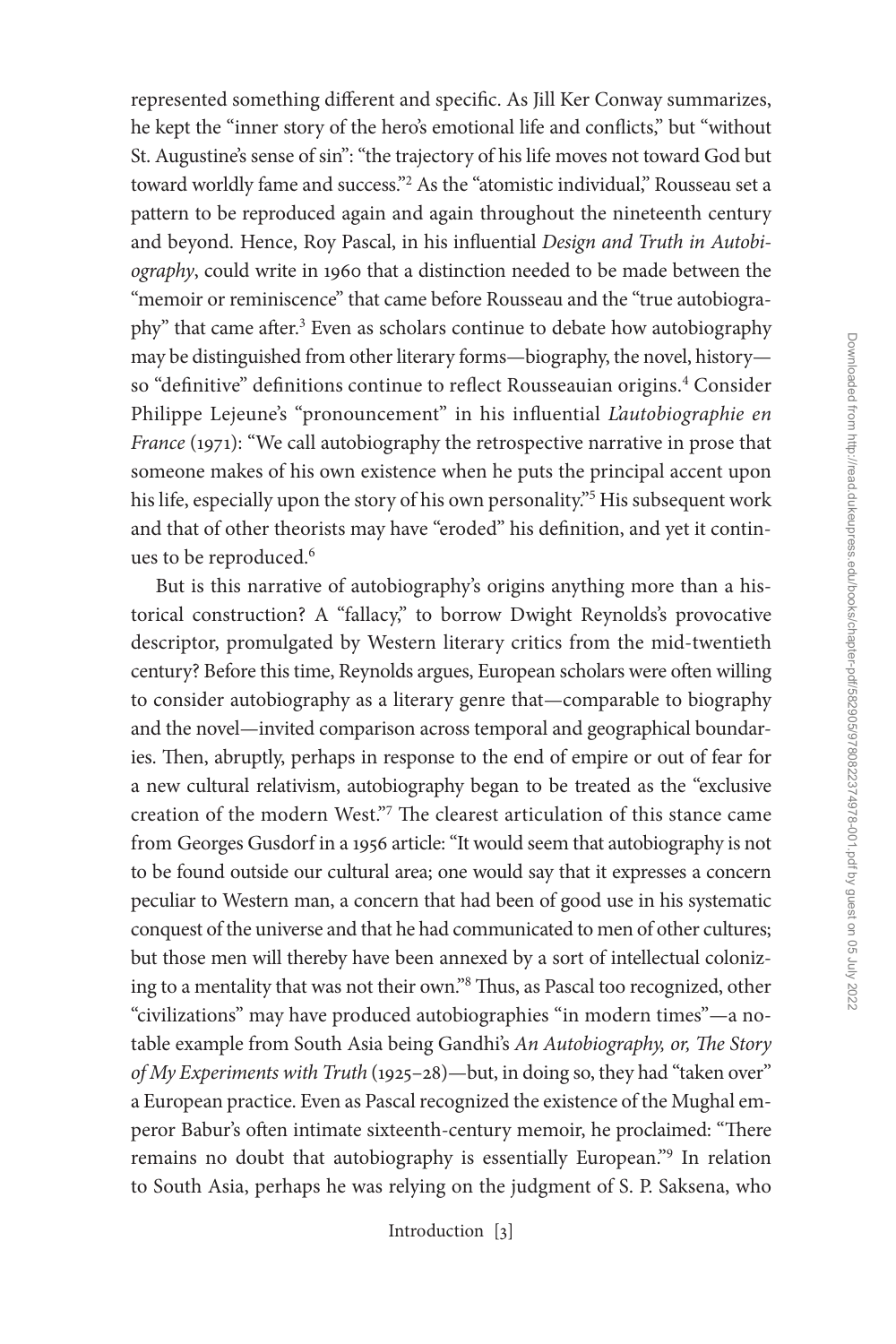represented something different and specific. As Jill Ker Conway summarizes, he kept the "inner story of the hero's emotional life and conflicts," but "without St. Augustine's sense of sin": "the trajectory of his life moves not toward God but toward worldly fame and success."<sup>[2](#page-23-0)</sup> As the "atomistic individual," Rousseau set a pattern to be reproduced again and again throughout the nineteenth century and beyond. Hence, Roy Pascal, in his influential *Design and Truth in Autobiography*, could write in 1960 that a distinction needed to be made between the "memoir or reminiscence" that came before Rousseau and the "true autobiography" that came after.<sup>3</sup> Even as scholars continue to debate how autobiography may be distinguished from other literary forms—biography, the novel, history— so "definitive" definitions continue to reflect Rousseauian origins.<sup>[4](#page-23-0)</sup> Consider Philippe Lejeune's "pronouncement" in his influential *L'autobiographie en France* (1971): "We call autobiography the retrospective narrative in prose that someone makes of his own existence when he puts the principal accent upon his life, especially upon the story of his own personality.["5](#page-23-0) His subsequent work and that of other theorists may have "eroded" his definition, and yet it contin-ues to be reproduced.<sup>[6](#page-23-0)</sup>

But is this narrative of autobiography's origins anything more than a historical construction? A "fallacy," to borrow Dwight Reynolds's provocative descriptor, promulgated by Western literary critics from the mid-twentieth century? Before this time, Reynolds argues, European scholars were often willing to consider autobiography as a literary genre that—comparable to biography and the novel—invited comparison across temporal and geographical boundaries. Then, abruptly, perhaps in response to the end of empire or out of fear for a new cultural relativism, autobiography began to be treated as the "exclusive creation of the modern West.["7](#page-23-0) The clearest articulation of this stance came from Georges Gusdorf in a 1956 article: "It would seem that autobiography is not to be found outside our cultural area; one would say that it expresses a concern peculiar to Western man, a concern that had been of good use in his systematic conquest of the universe and that he had communicated to men of other cultures; but those men will thereby have been annexed by a sort of intellectual colonizing to a mentality that was not their own.["8](#page-23-0) Thus, as Pascal too recognized, other "civilizations" may have produced autobiographies "in modern times"—a notable example from South Asia being Gandhi's *An Autobiography, or, The Story of My Experiments with Truth* (1925–28)—but, in doing so, they had "taken over" a European practice. Even as Pascal recognized the existence of the Mughal emperor Babur's often intimate sixteenth-century memoir, he proclaimed: "There remains no doubt that autobiography is essentially European."<sup>9</sup> In relation to South Asia, perhaps he was relying on the judgment of S. P. Saksena, who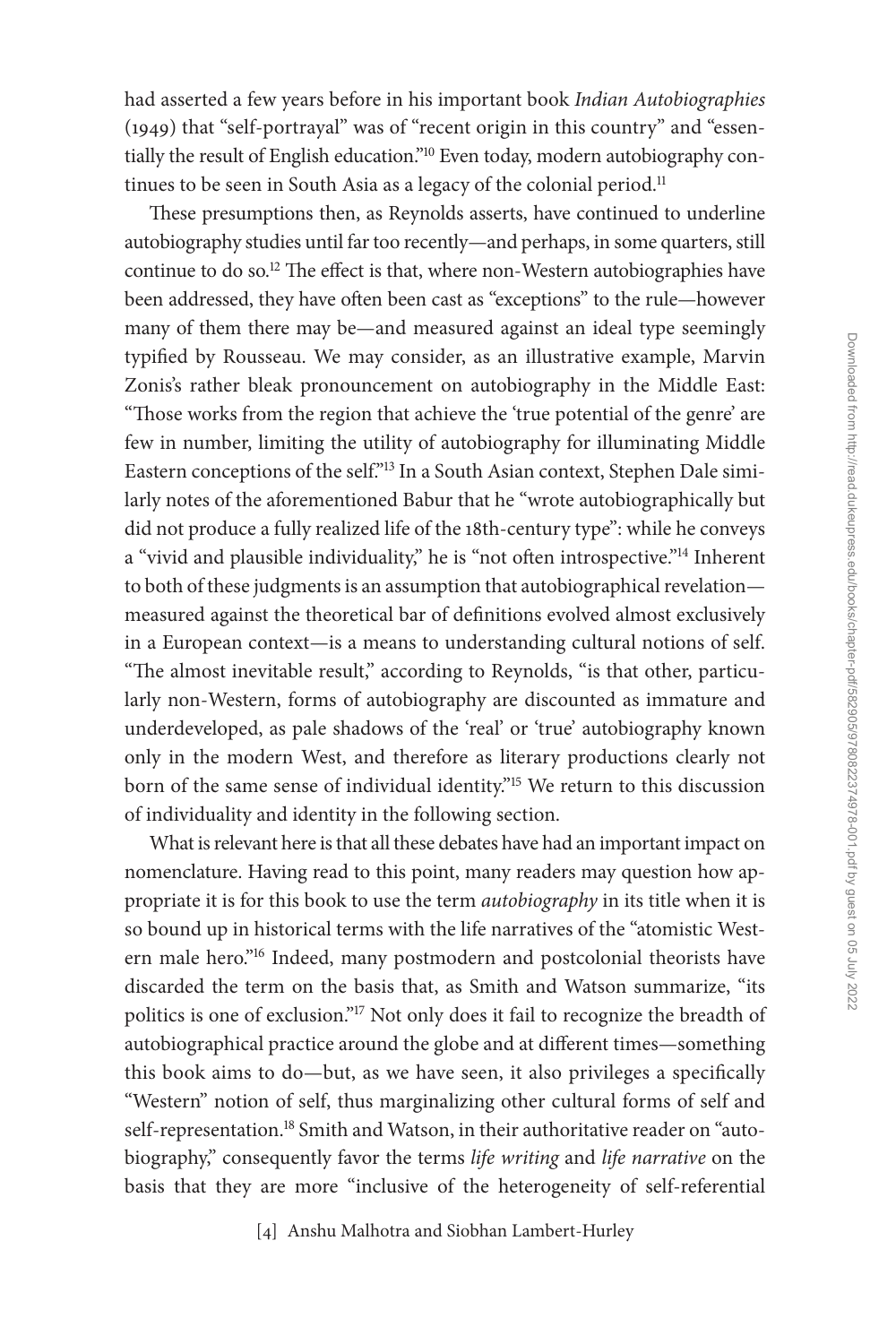had asserted a few years before in his important book *Indian Autobiographies* (1949) that "self-portrayal" was of "recent origin in this country" and "essentially the result of English education.["10](#page-23-0) Even today, modern autobiography con-tinues to be seen in South Asia as a legacy of the colonial period.<sup>[11](#page-23-0)</sup>

These presumptions then, as Reynolds asserts, have continued to underline autobiography studies until far too recently—and perhaps, in some quarters, still continue to do so.<sup>12</sup> The effect is that, where non-Western autobiographies have been addressed, they have often been cast as "exceptions" to the rule—however many of them there may be—and measured against an ideal type seemingly typified by Rousseau. We may consider, as an illustrative example, Marvin Zonis's rather bleak pronouncement on autobiography in the Middle East: "Those works from the region that achieve the 'true potential of the genre' are few in number, limiting the utility of autobiography for illuminating Middle Eastern conceptions of the self."<sup>13</sup> In a South Asian context, Stephen Dale similarly notes of the aforementioned Babur that he "wrote autobiographically but did not produce a fully realized life of the 18th-century type": while he conveys a "vivid and plausible individuality," he is "not often introspective."<sup>14</sup> Inherent to both of these judgments is an assumption that autobiographical revelation measured against the theoretical bar of definitions evolved almost exclusively in a European context—is a means to understanding cultural notions of self. "The almost inevitable result," according to Reynolds, "is that other, particularly non-Western, forms of autobiography are discounted as immature and underdeveloped, as pale shadows of the 'real' or 'true' autobiography known only in the modern West, and therefore as literary productions clearly not born of the same sense of individual identity.["15](#page-24-0) We return to this discussion of individuality and identity in the following section.

What is relevant here is that all these debates have had an important impact on nomenclature. Having read to this point, many readers may question how appropriate it is for this book to use the term *autobiography* in its title when it is so bound up in historical terms with the life narratives of the "atomistic Western male hero.["16](#page-24-0) Indeed, many postmodern and postcolonial theorists have discarded the term on the basis that, as Smith and Watson summarize, "its politics is one of exclusion."[17](#page-24-0) Not only does it fail to recognize the breadth of autobiographical practice around the globe and at different times—something this book aims to do—but, as we have seen, it also privileges a specifically "Western" notion of self, thus marginalizing other cultural forms of self and self-representation.<sup>[18](#page-24-0)</sup> Smith and Watson, in their authoritative reader on "autobiography," consequently favor the terms *life writing* and *life narrative* on the basis that they are more "inclusive of the heterogeneity of self-referential

[4] Anshu Malhotra and Siobhan Lambert-Hurley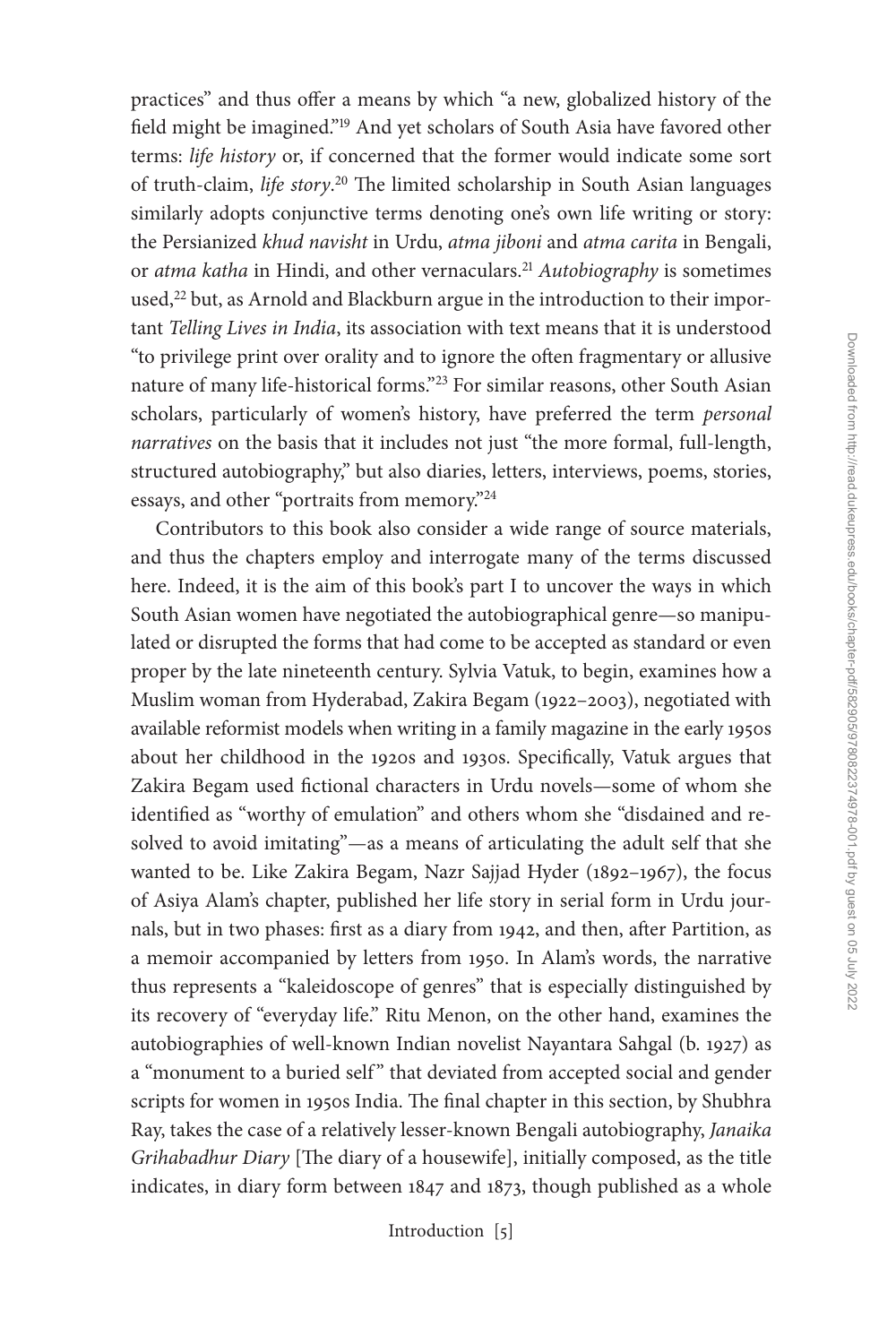practices" and thus offer a means by which "a new, globalized history of the field might be imagined."<sup>19</sup> And yet scholars of South Asia have favored other terms: *life history* or, if concerned that the former would indicate some sort of truth-claim, *life story*. [20](#page-24-0) The limited scholarship in South Asian languages similarly adopts conjunctive terms denoting one's own life writing or story: the Persianized *khud navisht* in Urdu, *atma jiboni* and *atma carita* in Bengali, or *atma katha* in Hindi, and other vernaculars.<sup>[21](#page-24-0)</sup> Autobiography is sometimes used, $22$  but, as Arnold and Blackburn argue in the introduction to their important *Telling Lives in India*, its association with text means that it is understood "to privilege print over orality and to ignore the often fragmentary or allusive nature of many life-historical forms."[23](#page-24-0) For similar reasons, other South Asian scholars, particularly of women's history, have preferred the term *personal narratives* on the basis that it includes not just "the more formal, full-length, structured autobiography," but also diaries, letters, interviews, poems, stories, essays, and other "portraits from memory.["24](#page-24-0)

Contributors to this book also consider a wide range of source materials, and thus the chapters employ and interrogate many of the terms discussed here. Indeed, it is the aim of this book's part I to uncover the ways in which South Asian women have negotiated the autobiographical genre—so manipulated or disrupted the forms that had come to be accepted as standard or even proper by the late nineteenth century. Sylvia Vatuk, to begin, examines how a Muslim woman from Hyderabad, Zakira Begam (1922–2003), negotiated with available reformist models when writing in a family magazine in the early 1950s about her childhood in the 1920s and 1930s. Specifically, Vatuk argues that Zakira Begam used fictional characters in Urdu novels—some of whom she identified as "worthy of emulation" and others whom she "disdained and resolved to avoid imitating"—as a means of articulating the adult self that she wanted to be. Like Zakira Begam, Nazr Sajjad Hyder (1892–1967), the focus of Asiya Alam's chapter, published her life story in serial form in Urdu journals, but in two phases: first as a diary from 1942, and then, after Partition, as a memoir accompanied by letters from 1950. In Alam's words, the narrative thus represents a "kaleidoscope of genres" that is especially distinguished by its recovery of "everyday life." Ritu Menon, on the other hand, examines the autobiographies of well-known Indian novelist Nayantara Sahgal (b. 1927) as a "monument to a buried self" that deviated from accepted social and gender scripts for women in 1950s India. The final chapter in this section, by Shubhra Ray, takes the case of a relatively lesser-known Bengali autobiography, *Janaika Grihabadhur Diary* [The diary of a housewife], initially composed, as the title indicates, in diary form between 1847 and 1873, though published as a whole

Introduction [5]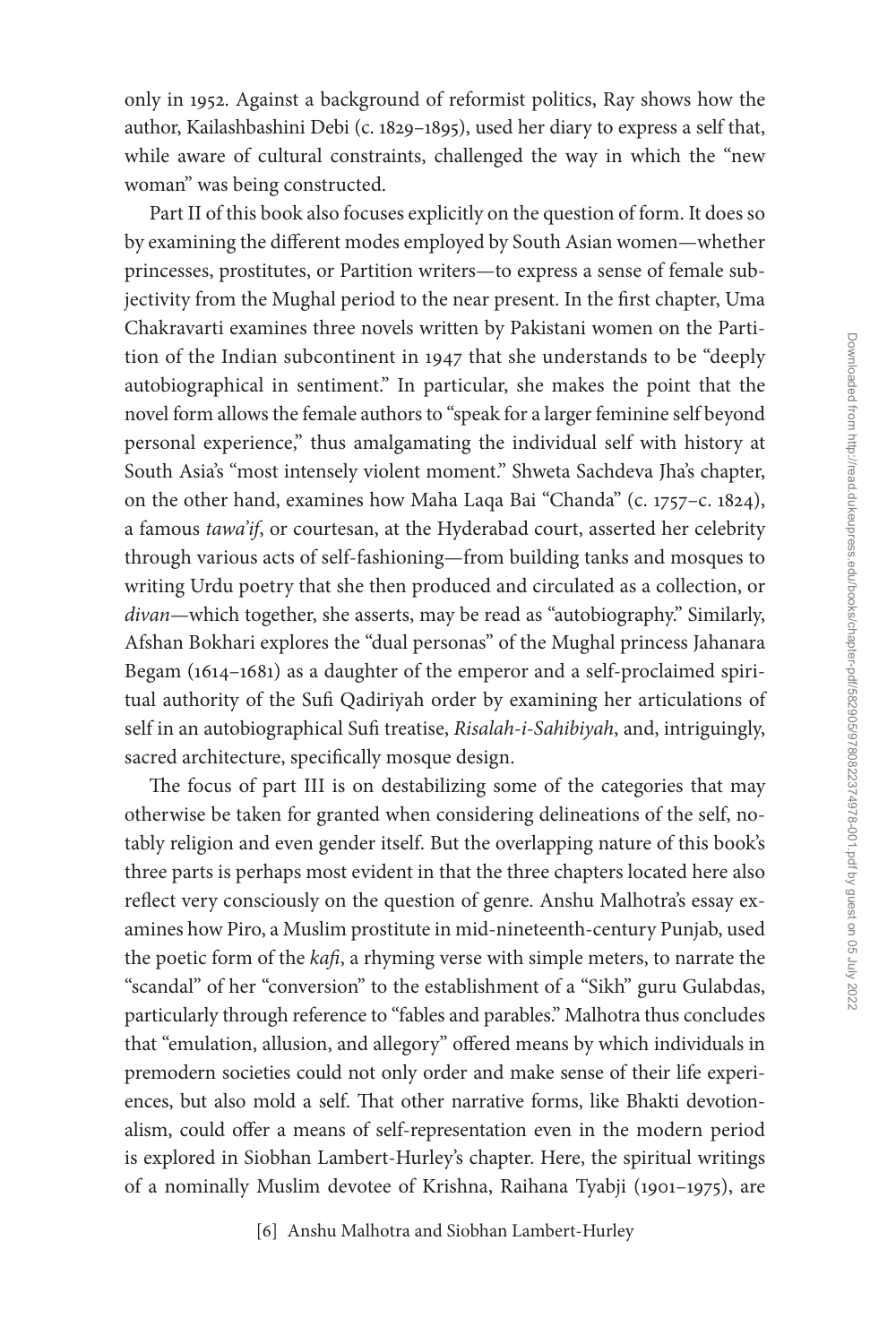only in 1952. Against a background of reformist politics, Ray shows how the author, Kailashbashini Debi (c. 1829–1895), used her diary to express a self that, while aware of cultural constraints, challenged the way in which the "new woman" was being constructed.

Part II of this book also focuses explicitly on the question of form. It does so by examining the different modes employed by South Asian women—whether princesses, prostitutes, or Partition writers—to express a sense of female subjectivity from the Mughal period to the near present. In the first chapter, Uma Chakravarti examines three novels written by Pakistani women on the Partition of the Indian subcontinent in 1947 that she understands to be "deeply autobiographical in sentiment." In particular, she makes the point that the novel form allows the female authors to "speak for a larger feminine self beyond personal experience," thus amalgamating the individual self with history at South Asia's "most intensely violent moment." Shweta Sachdeva Jha's chapter, on the other hand, examines how Maha Laqa Bai "Chanda" (c. 1757–c. 1824), a famous *tawa'if*, or courtesan, at the Hyderabad court, asserted her celebrity through various acts of self-fashioning—from building tanks and mosques to writing Urdu poetry that she then produced and circulated as a collection, or *divan—*which together, she asserts, may be read as "autobiography." Similarly, Afshan Bokhari explores the "dual personas" of the Mughal princess Jahanara Begam (1614–1681) as a daughter of the emperor and a self-proclaimed spiritual authority of the Sufi Qadiriyah order by examining her articulations of self in an autobiographical Sufi treatise, *Risalah-i-Sahibiyah*, and, intriguingly, sacred architecture, specifically mosque design.

The focus of part III is on destabilizing some of the categories that may otherwise be taken for granted when considering delineations of the self, notably religion and even gender itself. But the overlapping nature of this book's three parts is perhaps most evident in that the three chapters located here also reflect very consciously on the question of genre. Anshu Malhotra's essay examines how Piro, a Muslim prostitute in mid-nineteenth-century Punjab, used the poetic form of the *kafi*, a rhyming verse with simple meters, to narrate the "scandal" of her "conversion" to the establishment of a "Sikh" guru Gulabdas, particularly through reference to "fables and parables." Malhotra thus concludes that "emulation, allusion, and allegory" offered means by which individuals in premodern societies could not only order and make sense of their life experiences, but also mold a self. That other narrative forms, like Bhakti devotionalism, could offer a means of self-representation even in the modern period is explored in Siobhan Lambert-Hurley's chapter. Here, the spiritual writings of a nominally Muslim devotee of Krishna, Raihana Tyabji (1901–1975), are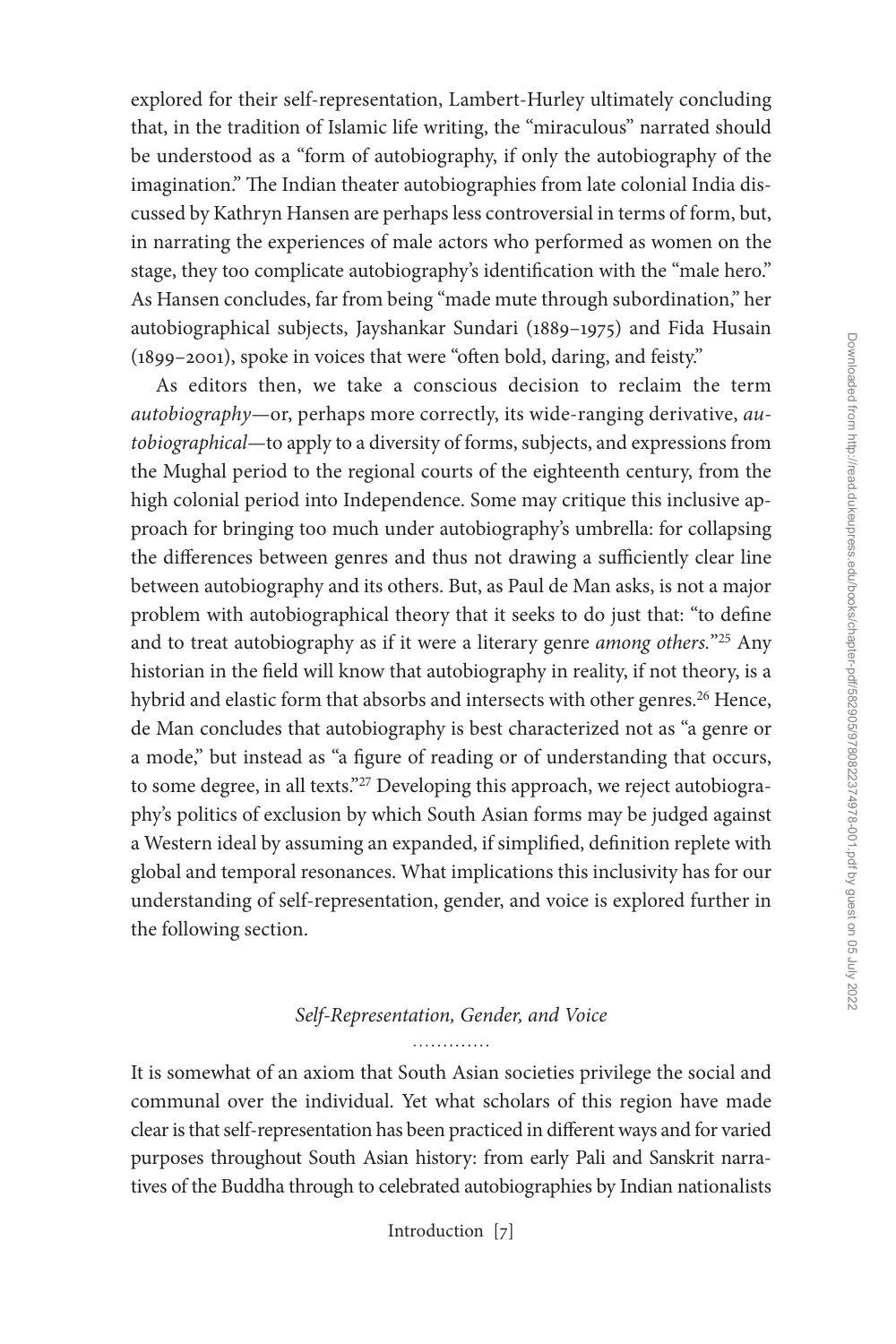explored for their self-representation, Lambert-Hurley ultimately concluding that, in the tradition of Islamic life writing, the "miraculous" narrated should be understood as a "form of autobiography, if only the autobiography of the imagination." The Indian theater autobiographies from late colonial India discussed by Kathryn Hansen are perhaps less controversial in terms of form, but, in narrating the experiences of male actors who performed as women on the stage, they too complicate autobiography's identification with the "male hero." As Hansen concludes, far from being "made mute through subordination," her autobiographical subjects, Jayshankar Sundari (1889–1975) and Fida Husain (1899–2001), spoke in voices that were "often bold, daring, and feisty."

As editors then, we take a conscious decision to reclaim the term *autobiography—*or, perhaps more correctly, its wide-ranging derivative, *autobiographical—*to apply to a diversity of forms, subjects, and expressions from the Mughal period to the regional courts of the eighteenth century, from the high colonial period into Independence. Some may critique this inclusive approach for bringing too much under autobiography's umbrella: for collapsing the differences between genres and thus not drawing a sufficiently clear line between autobiography and its others. But, as Paul de Man asks, is not a major problem with autobiographical theory that it seeks to do just that: "to define and to treat autobiography as if it were a literary genre *among others.*["25](#page-24-0) Any historian in the field will know that autobiography in reality, if not theory, is a hybrid and elastic form that absorbs and intersects with other genres.<sup>[26](#page-24-0)</sup> Hence, de Man concludes that autobiography is best characterized not as "a genre or a mode," but instead as "a figure of reading or of understanding that occurs, to some degree, in all texts."<sup>27</sup> Developing this approach, we reject autobiography's politics of exclusion by which South Asian forms may be judged against a Western ideal by assuming an expanded, if simplified, definition replete with global and temporal resonances. What implications this inclusivity has for our understanding of self-representation, gender, and voice is explored further in the following section.

### *Self-Representation, Gender, and Voice*

. . . . . . . . . . . . .

It is somewhat of an axiom that South Asian societies privilege the social and communal over the individual. Yet what scholars of this region have made clear is that self-representation has been practiced in different ways and for varied purposes throughout South Asian history: from early Pali and Sanskrit narratives of the Buddha through to celebrated autobiographies by Indian nationalists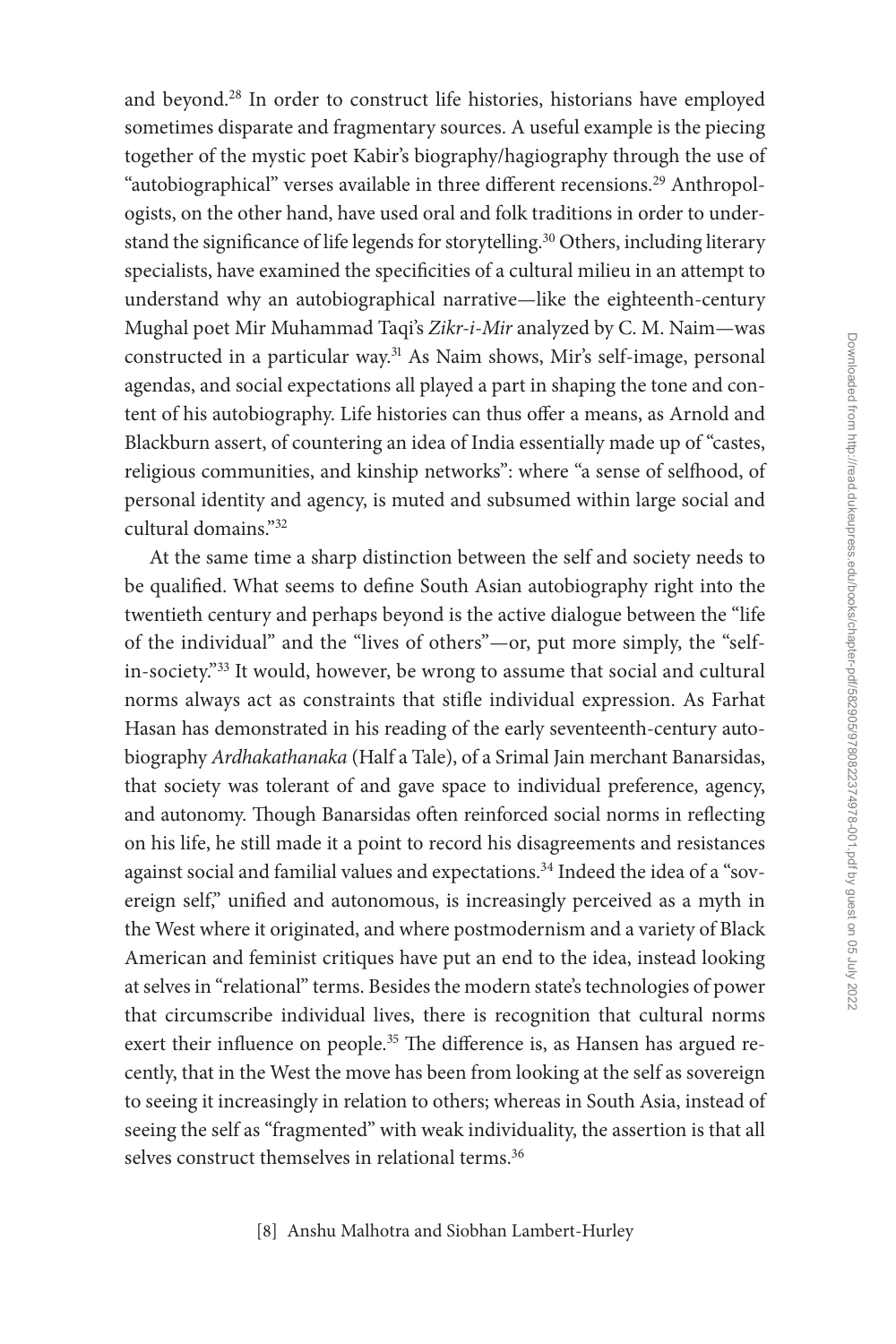and beyond[.28](#page-24-0) In order to construct life histories, historians have employed sometimes disparate and fragmentary sources. A useful example is the piecing together of the mystic poet Kabir's biography/hagiography through the use of "autobiographical" verses available in three different recensions.[29](#page-24-0) Anthropologists, on the other hand, have used oral and folk traditions in order to under-stand the significance of life legends for storytelling.<sup>[30](#page-24-0)</sup> Others, including literary specialists, have examined the specificities of a cultural milieu in an attempt to understand why an autobiographical narrative—like the eighteenth-century Mughal poet Mir Muhammad Taqi's *Zikr-i-Mir* analyzed by C. M. Naim—was constructed in a particular way.[31](#page-24-0) As Naim shows, Mir's self-image, personal agendas, and social expectations all played a part in shaping the tone and content of his autobiography. Life histories can thus offer a means, as Arnold and Blackburn assert, of countering an idea of India essentially made up of "castes, religious communities, and kinship networks": where "a sense of selfhood, of personal identity and agency, is muted and subsumed within large social and cultural domains."[32](#page-25-0)

At the same time a sharp distinction between the self and society needs to be qualified. What seems to define South Asian autobiography right into the twentieth century and perhaps beyond is the active dialogue between the "life of the individual" and the "lives of others"—or, put more simply, the "selfin-society."[33](#page-25-0) It would, however, be wrong to assume that social and cultural norms always act as constraints that stifle individual expression. As Farhat Hasan has demonstrated in his reading of the early seventeenth-century autobiography *Ardhakathanaka* (Half a Tale), of a Srimal Jain merchant Banarsidas, that society was tolerant of and gave space to individual preference, agency, and autonomy. Though Banarsidas often reinforced social norms in reflecting on his life, he still made it a point to record his disagreements and resistances against social and familial values and expectations.<sup>34</sup> Indeed the idea of a "sovereign self," unified and autonomous, is increasingly perceived as a myth in the West where it originated, and where postmodernism and a variety of Black American and feminist critiques have put an end to the idea, instead looking at selves in "relational" terms. Besides the modern state's technologies of power that circumscribe individual lives, there is recognition that cultural norms exert their influence on people.<sup>[35](#page-25-0)</sup> The difference is, as Hansen has argued recently, that in the West the move has been from looking at the self as sovereign to seeing it increasingly in relation to others; whereas in South Asia, instead of seeing the self as "fragmented" with weak individuality, the assertion is that all selves construct themselves in relational terms.<sup>[36](#page-25-0)</sup>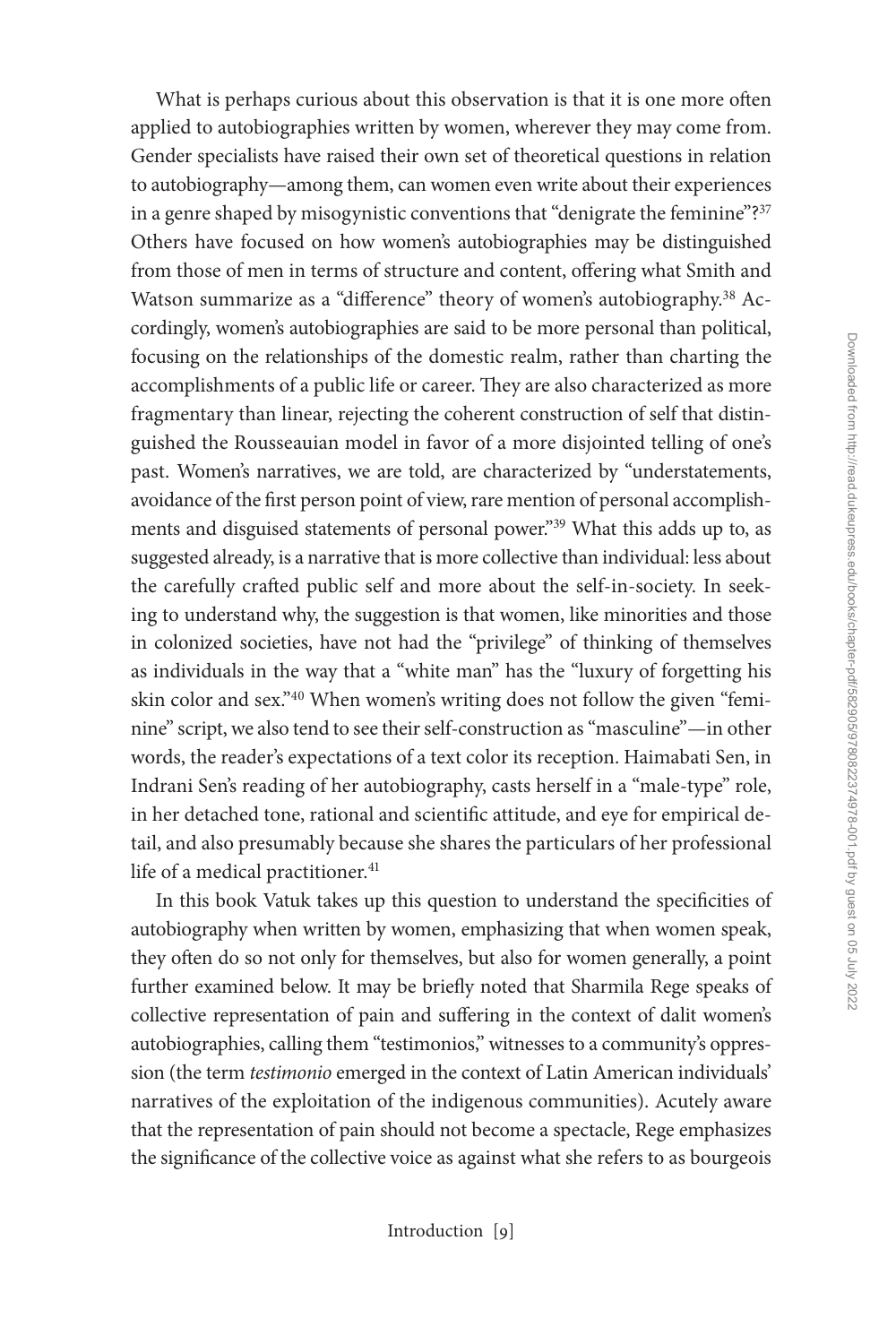What is perhaps curious about this observation is that it is one more often applied to autobiographies written by women, wherever they may come from. Gender specialists have raised their own set of theoretical questions in relation to autobiography—among them, can women even write about their experiences in a genre shaped by misogynistic conventions that "denigrate the feminine"?<sup>37</sup> Others have focused on how women's autobiographies may be distinguished from those of men in terms of structure and content, offering what Smith and Watson summarize as a "difference" theory of women's autobiography.<sup>38</sup> Accordingly, women's autobiographies are said to be more personal than political, focusing on the relationships of the domestic realm, rather than charting the accomplishments of a public life or career. They are also characterized as more fragmentary than linear, rejecting the coherent construction of self that distinguished the Rousseauian model in favor of a more disjointed telling of one's past. Women's narratives, we are told, are characterized by "understatements, avoidance of the first person point of view, rare mention of personal accomplishments and disguised statements of personal power."<sup>39</sup> What this adds up to, as suggested already, is a narrative that is more collective than individual: less about the carefully crafted public self and more about the self-in-society. In seeking to understand why, the suggestion is that women, like minorities and those in colonized societies, have not had the "privilege" of thinking of themselves as individuals in the way that a "white man" has the "luxury of forgetting his skin color and sex.["40](#page-25-0) When women's writing does not follow the given "feminine" script, we also tend to see their self-construction as "masculine"—in other words, the reader's expectations of a text color its reception. Haimabati Sen, in Indrani Sen's reading of her autobiography, casts herself in a "male-type" role, in her detached tone, rational and scientific attitude, and eye for empirical detail, and also presumably because she shares the particulars of her professional life of a medical practitioner.<sup>41</sup>

In this book Vatuk takes up this question to understand the specificities of autobiography when written by women, emphasizing that when women speak, they often do so not only for themselves, but also for women generally, a point further examined below. It may be briefly noted that Sharmila Rege speaks of collective representation of pain and suffering in the context of dalit women's autobiographies, calling them "testimonios," witnesses to a community's oppression (the term *testimonio* emerged in the context of Latin American individuals' narratives of the exploitation of the indigenous communities). Acutely aware that the representation of pain should not become a spectacle, Rege emphasizes the significance of the collective voice as against what she refers to as bourgeois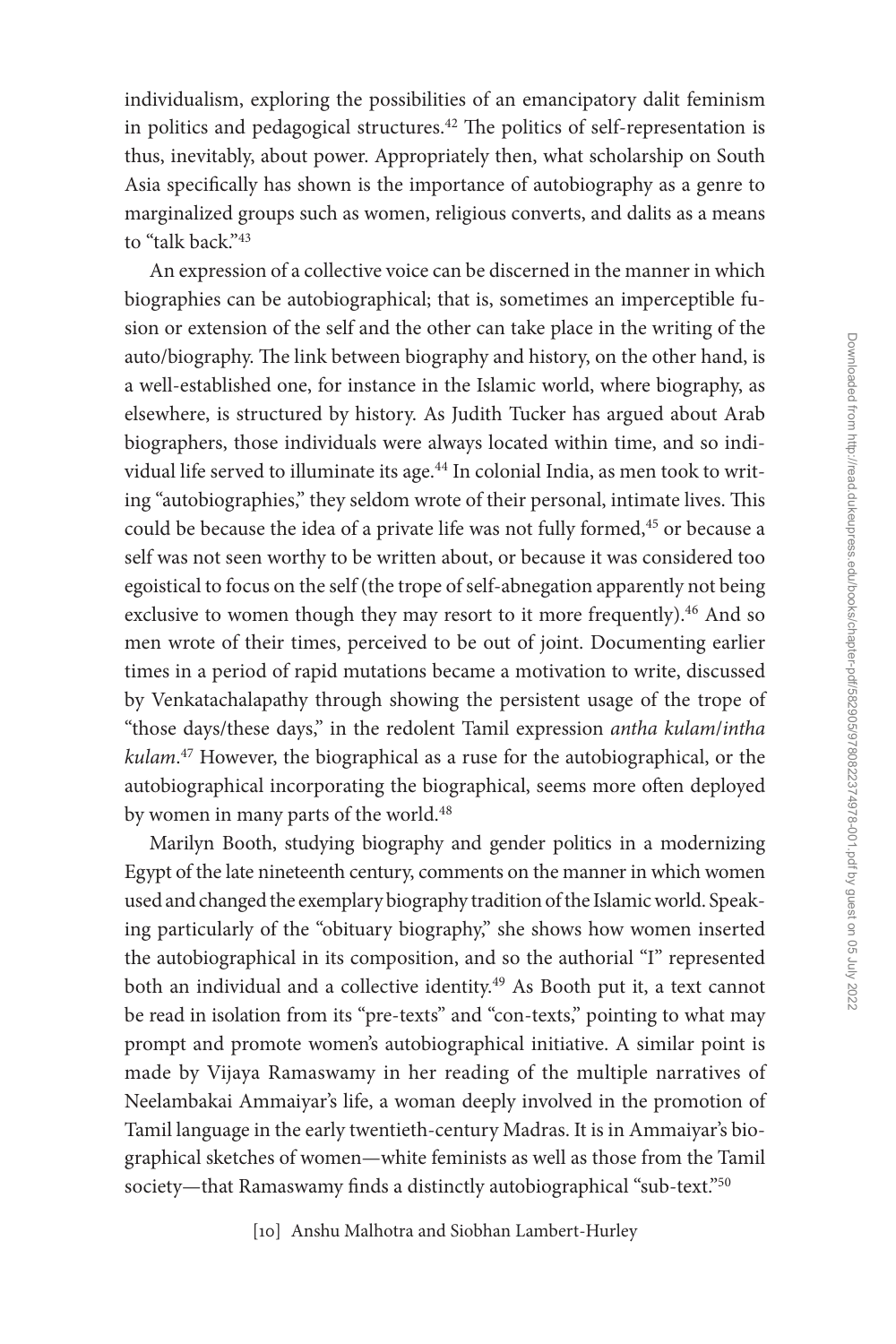individualism, exploring the possibilities of an emancipatory dalit feminism in politics and pedagogical structures.<sup>42</sup> The politics of self-representation is thus, inevitably, about power. Appropriately then, what scholarship on South Asia specifically has shown is the importance of autobiography as a genre to marginalized groups such as women, religious converts, and dalits as a means to "talk back."[43](#page-25-0)

An expression of a collective voice can be discerned in the manner in which biographies can be autobiographical; that is, sometimes an imperceptible fusion or extension of the self and the other can take place in the writing of the auto/biography. The link between biography and history, on the other hand, is a well-established one, for instance in the Islamic world, where biography, as elsewhere, is structured by history. As Judith Tucker has argued about Arab biographers, those individuals were always located within time, and so indi-vidual life served to illuminate its age.<sup>[44](#page-25-0)</sup> In colonial India, as men took to writing "autobiographies," they seldom wrote of their personal, intimate lives. This could be because the idea of a private life was not fully formed,<sup>45</sup> or because a self was not seen worthy to be written about, or because it was considered too egoistical to focus on the self (the trope of self-abnegation apparently not being exclusive to women though they may resort to it more frequently).<sup>46</sup> And so men wrote of their times, perceived to be out of joint. Documenting earlier times in a period of rapid mutations became a motivation to write, discussed by Venkatachalapathy through showing the persistent usage of the trope of "those days/these days," in the redolent Tamil expression *antha kulam*/*intha kulam*. [47](#page-25-0) However, the biographical as a ruse for the autobiographical, or the autobiographical incorporating the biographical, seems more often deployed by women in many parts of the world.<sup>[48](#page-25-0)</sup>

Marilyn Booth, studying biography and gender politics in a modernizing Egypt of the late nineteenth century, comments on the manner in which women used and changed the exemplary biography tradition of the Islamic world. Speaking particularly of the "obituary biography," she shows how women inserted the autobiographical in its composition, and so the authorial "I" represented both an individual and a collective identity.<sup>49</sup> As Booth put it, a text cannot be read in isolation from its "pre-texts" and "con-texts," pointing to what may prompt and promote women's autobiographical initiative. A similar point is made by Vijaya Ramaswamy in her reading of the multiple narratives of Neelambakai Ammaiyar's life, a woman deeply involved in the promotion of Tamil language in the early twentieth-century Madras. It is in Ammaiyar's biographical sketches of women—white feminists as well as those from the Tamil society—that Ramaswamy finds a distinctly autobiographical "sub-text.["50](#page-26-0)

[10] Anshu Malhotra and Siobhan Lambert-Hurley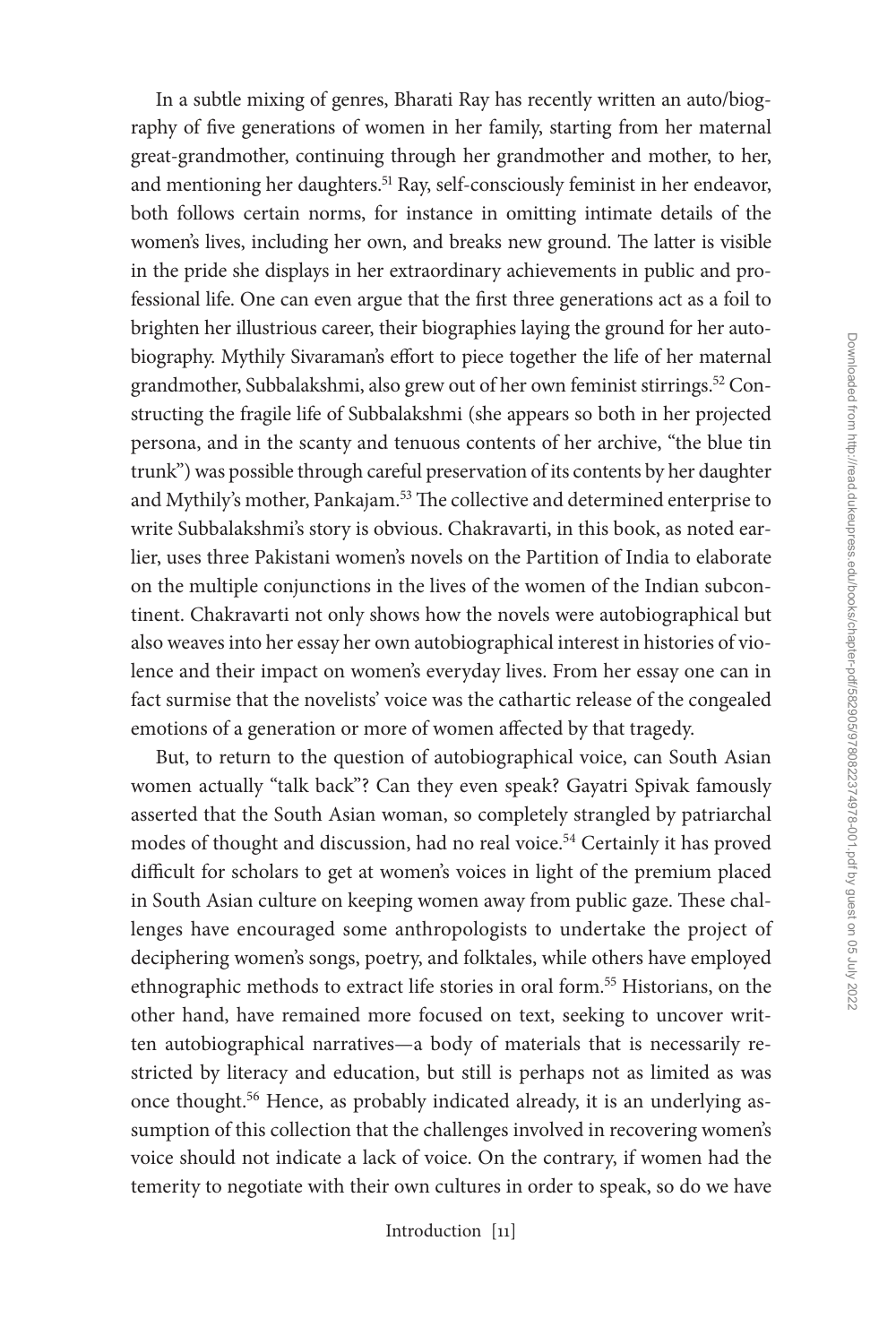In a subtle mixing of genres, Bharati Ray has recently written an auto/biography of five generations of women in her family, starting from her maternal great-grandmother, continuing through her grandmother and mother, to her, and mentioning her daughters[.51](#page-26-0) Ray, self-consciously feminist in her endeavor, both follows certain norms, for instance in omitting intimate details of the women's lives, including her own, and breaks new ground. The latter is visible in the pride she displays in her extraordinary achievements in public and professional life. One can even argue that the first three generations act as a foil to brighten her illustrious career, their biographies laying the ground for her autobiography. Mythily Sivaraman's effort to piece together the life of her maternal grandmother, Subbalakshmi, also grew out of her own feminist stirrings.<sup>[52](#page-26-0)</sup> Constructing the fragile life of Subbalakshmi (she appears so both in her projected persona, and in the scanty and tenuous contents of her archive, "the blue tin trunk") was possible through careful preservation of its contents by her daughter and Mythily's mother, Pankajam.<sup>53</sup> The collective and determined enterprise to write Subbalakshmi's story is obvious. Chakravarti, in this book, as noted earlier, uses three Pakistani women's novels on the Partition of India to elaborate on the multiple conjunctions in the lives of the women of the Indian subcontinent. Chakravarti not only shows how the novels were autobiographical but also weaves into her essay her own autobiographical interest in histories of violence and their impact on women's everyday lives. From her essay one can in fact surmise that the novelists' voice was the cathartic release of the congealed emotions of a generation or more of women affected by that tragedy.

But, to return to the question of autobiographical voice, can South Asian women actually "talk back"? Can they even speak? Gayatri Spivak famously asserted that the South Asian woman, so completely strangled by patriarchal modes of thought and discussion, had no real voice.<sup>54</sup> Certainly it has proved difficult for scholars to get at women's voices in light of the premium placed in South Asian culture on keeping women away from public gaze. These challenges have encouraged some anthropologists to undertake the project of deciphering women's songs, poetry, and folktales, while others have employed ethnographic methods to extract life stories in oral form[.55](#page-26-0) Historians, on the other hand, have remained more focused on text, seeking to uncover written autobiographical narratives—a body of materials that is necessarily restricted by literacy and education, but still is perhaps not as limited as was once thought.[56](#page-26-0) Hence, as probably indicated already, it is an underlying assumption of this collection that the challenges involved in recovering women's voice should not indicate a lack of voice. On the contrary, if women had the temerity to negotiate with their own cultures in order to speak, so do we have

Introduction [11]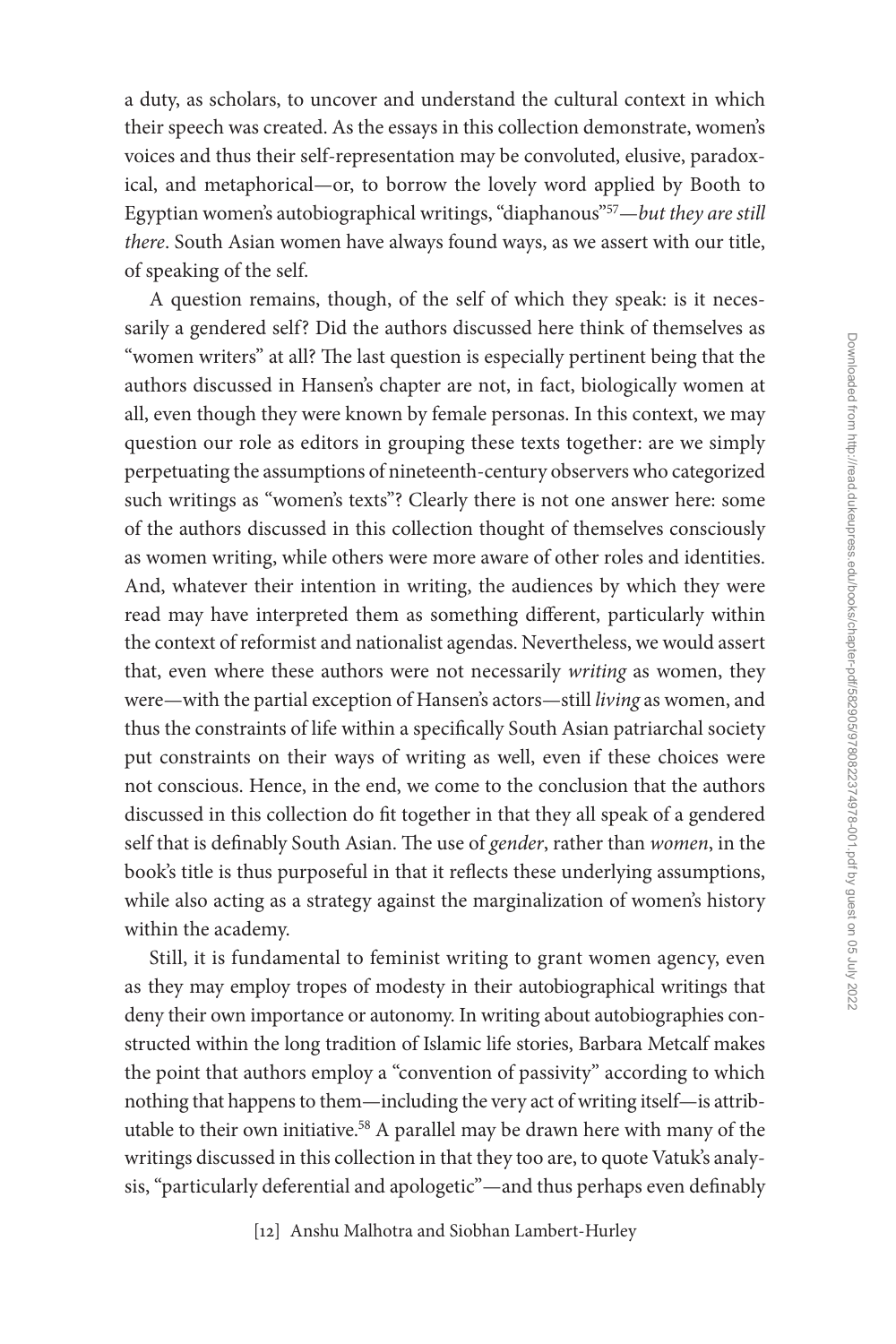a duty, as scholars, to uncover and understand the cultural context in which their speech was created. As the essays in this collection demonstrate, women's voices and thus their self-representation may be convoluted, elusive, paradoxical, and metaphorical—or, to borrow the lovely word applied by Booth to Egyptian women's autobiographical writings, "diaphanous["57](#page-26-0)—*but they are still there*. South Asian women have always found ways, as we assert with our title, of speaking of the self.

A question remains, though, of the self of which they speak: is it necessarily a gendered self? Did the authors discussed here think of themselves as "women writers" at all? The last question is especially pertinent being that the authors discussed in Hansen's chapter are not, in fact, biologically women at all, even though they were known by female personas. In this context, we may question our role as editors in grouping these texts together: are we simply perpetuating the assumptions of nineteenth-century observers who categorized such writings as "women's texts"? Clearly there is not one answer here: some of the authors discussed in this collection thought of themselves consciously as women writing, while others were more aware of other roles and identities. And, whatever their intention in writing, the audiences by which they were read may have interpreted them as something different, particularly within the context of reformist and nationalist agendas. Nevertheless, we would assert that, even where these authors were not necessarily *writing* as women, they were—with the partial exception of Hansen's actors—still *living* as women, and thus the constraints of life within a specifically South Asian patriarchal society put constraints on their ways of writing as well, even if these choices were not conscious. Hence, in the end, we come to the conclusion that the authors discussed in this collection do fit together in that they all speak of a gendered self that is definably South Asian. The use of *gender*, rather than *women*, in the book's title is thus purposeful in that it reflects these underlying assumptions, while also acting as a strategy against the marginalization of women's history within the academy.

Still, it is fundamental to feminist writing to grant women agency, even as they may employ tropes of modesty in their autobiographical writings that deny their own importance or autonomy. In writing about autobiographies constructed within the long tradition of Islamic life stories, Barbara Metcalf makes the point that authors employ a "convention of passivity" according to which nothing that happens to them—including the very act of writing itself—is attributable to their own initiative.[58](#page-26-0) A parallel may be drawn here with many of the writings discussed in this collection in that they too are, to quote Vatuk's analysis, "particularly deferential and apologetic"—and thus perhaps even definably

[12] Anshu Malhotra and Siobhan Lambert-Hurley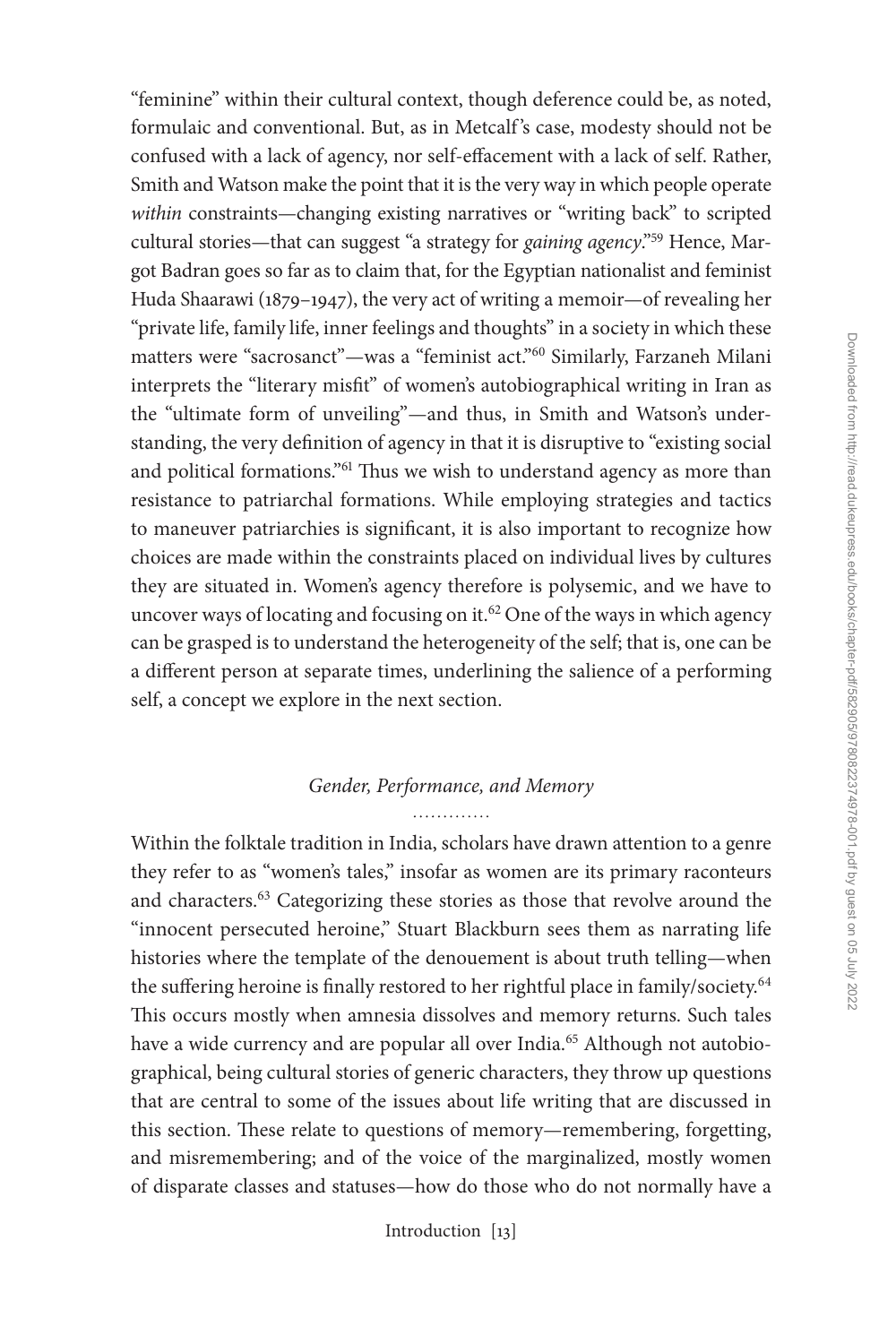"feminine" within their cultural context, though deference could be, as noted, formulaic and conventional. But, as in Metcalf 's case, modesty should not be confused with a lack of agency, nor self-effacement with a lack of self. Rather, Smith and Watson make the point that it is the very way in which people operate *within* constraints—changing existing narratives or "writing back" to scripted cultural stories—that can suggest "a strategy for *gaining agency*."[59](#page-26-0) Hence, Margot Badran goes so far as to claim that, for the Egyptian nationalist and feminist Huda Shaarawi (1879–1947), the very act of writing a memoir—of revealing her "private life, family life, inner feelings and thoughts" in a society in which these matters were "sacrosanct"—was a "feminist act.["60](#page-26-0) Similarly, Farzaneh Milani interprets the "literary misfit" of women's autobiographical writing in Iran as the "ultimate form of unveiling"—and thus, in Smith and Watson's understanding, the very definition of agency in that it is disruptive to "existing social and political formations."[61](#page-26-0) Thus we wish to understand agency as more than resistance to patriarchal formations. While employing strategies and tactics to maneuver patriarchies is significant, it is also important to recognize how choices are made within the constraints placed on individual lives by cultures they are situated in. Women's agency therefore is polysemic, and we have to uncover ways of locating and focusing on it.<sup>62</sup> One of the ways in which agency can be grasped is to understand the heterogeneity of the self; that is, one can be a different person at separate times, underlining the salience of a performing self, a concept we explore in the next section.

## *Gender, Performance, and Memory*

Within the folktale tradition in India, scholars have drawn attention to a genre they refer to as "women's tales," insofar as women are its primary raconteurs and characters[.63](#page-27-0) Categorizing these stories as those that revolve around the "innocent persecuted heroine," Stuart Blackburn sees them as narrating life histories where the template of the denouement is about truth telling—when the suffering heroine is finally restored to her rightful place in family/society[.64](#page-27-0) This occurs mostly when amnesia dissolves and memory returns. Such tales have a wide currency and are popular all over India.<sup>65</sup> Although not autobiographical, being cultural stories of generic characters, they throw up questions that are central to some of the issues about life writing that are discussed in this section. These relate to questions of memory—remembering, forgetting, and misremembering; and of the voice of the marginalized, mostly women of disparate classes and statuses—how do those who do not normally have a

Introduction [13]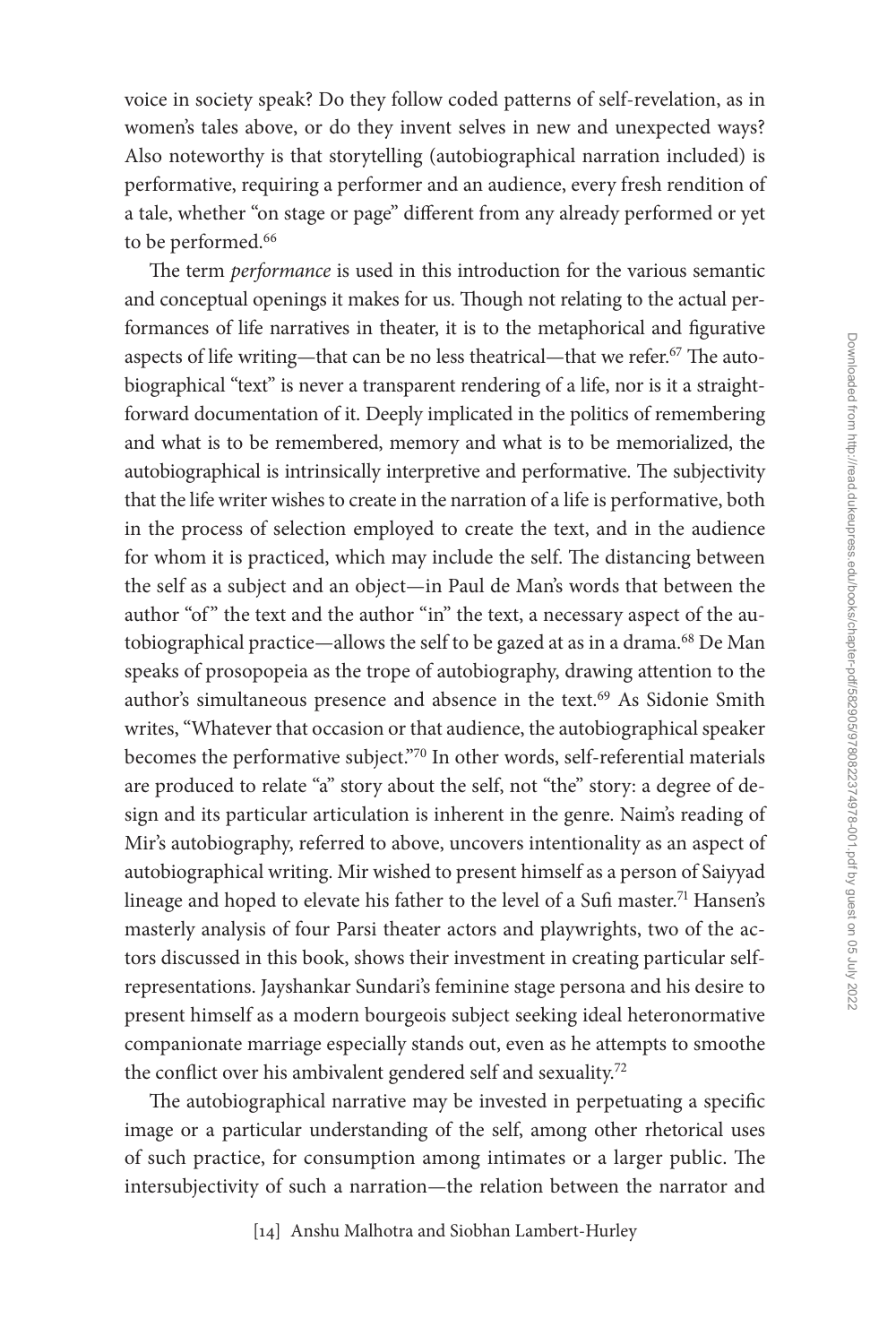voice in society speak? Do they follow coded patterns of self-revelation, as in women's tales above, or do they invent selves in new and unexpected ways? Also noteworthy is that storytelling (autobiographical narration included) is performative, requiring a performer and an audience, every fresh rendition of a tale, whether "on stage or page" different from any already performed or yet to be performed.<sup>[66](#page-27-0)</sup>

The term *performance* is used in this introduction for the various semantic and conceptual openings it makes for us. Though not relating to the actual performances of life narratives in theater, it is to the metaphorical and figurative aspects of life writing—that can be no less theatrical—that we refer.<sup>67</sup> The autobiographical "text" is never a transparent rendering of a life, nor is it a straightforward documentation of it. Deeply implicated in the politics of remembering and what is to be remembered, memory and what is to be memorialized, the autobiographical is intrinsically interpretive and performative. The subjectivity that the life writer wishes to create in the narration of a life is performative, both in the process of selection employed to create the text, and in the audience for whom it is practiced, which may include the self. The distancing between the self as a subject and an object—in Paul de Man's words that between the author "of" the text and the author "in" the text, a necessary aspect of the autobiographical practice—allows the self to be gazed at as in a drama[.68](#page-27-0) De Man speaks of prosopopeia as the trope of autobiography, drawing attention to the author's simultaneous presence and absence in the text.<sup>69</sup> As Sidonie Smith writes, "Whatever that occasion or that audience, the autobiographical speaker becomes the performative subject."[70](#page-27-0) In other words, self-referential materials are produced to relate "a" story about the self, not "the" story: a degree of design and its particular articulation is inherent in the genre. Naim's reading of Mir's autobiography, referred to above, uncovers intentionality as an aspect of autobiographical writing. Mir wished to present himself as a person of Saiyyad lineage and hoped to elevate his father to the level of a Sufi master.<sup>71</sup> Hansen's masterly analysis of four Parsi theater actors and playwrights, two of the actors discussed in this book, shows their investment in creating particular selfrepresentations. Jayshankar Sundari's feminine stage persona and his desire to present himself as a modern bourgeois subject seeking ideal heteronormative companionate marriage especially stands out, even as he attempts to smoothe the conflict over his ambivalent gendered self and sexuality.<sup>72</sup>

The autobiographical narrative may be invested in perpetuating a specific image or a particular understanding of the self, among other rhetorical uses of such practice, for consumption among intimates or a larger public. The intersubjectivity of such a narration—the relation between the narrator and

[14] Anshu Malhotra and Siobhan Lambert-Hurley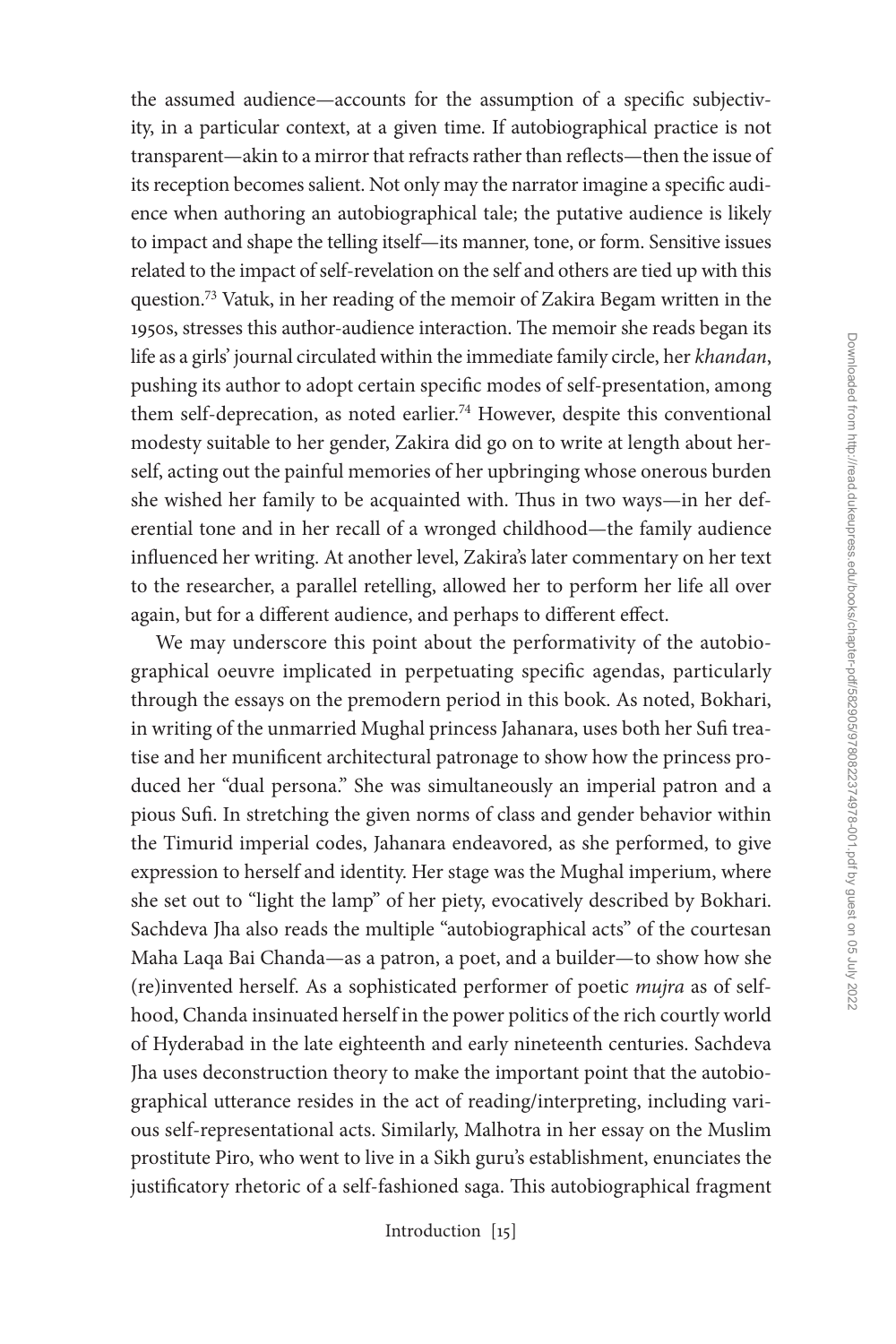the assumed audience—accounts for the assumption of a specific subjectivity, in a particular context, at a given time. If autobiographical practice is not transparent—akin to a mirror that refracts rather than reflects—then the issue of its reception becomes salient. Not only may the narrator imagine a specific audience when authoring an autobiographical tale; the putative audience is likely to impact and shape the telling itself—its manner, tone, or form. Sensitive issues related to the impact of self-revelation on the self and others are tied up with this question.[73](#page-27-0) Vatuk, in her reading of the memoir of Zakira Begam written in the 1950s, stresses this author-audience interaction. The memoir she reads began its life as a girls' journal circulated within the immediate family circle, her *khandan*, pushing its author to adopt certain specific modes of self-presentation, among them self-deprecation, as noted earlier.<sup>74</sup> However, despite this conventional modesty suitable to her gender, Zakira did go on to write at length about herself, acting out the painful memories of her upbringing whose onerous burden she wished her family to be acquainted with. Thus in two ways—in her deferential tone and in her recall of a wronged childhood—the family audience influenced her writing. At another level, Zakira's later commentary on her text to the researcher, a parallel retelling, allowed her to perform her life all over again, but for a different audience, and perhaps to different effect.

We may underscore this point about the performativity of the autobiographical oeuvre implicated in perpetuating specific agendas, particularly through the essays on the premodern period in this book. As noted, Bokhari, in writing of the unmarried Mughal princess Jahanara, uses both her Sufi treatise and her munificent architectural patronage to show how the princess produced her "dual persona." She was simultaneously an imperial patron and a pious Sufi. In stretching the given norms of class and gender behavior within the Timurid imperial codes, Jahanara endeavored, as she performed, to give expression to herself and identity. Her stage was the Mughal imperium, where she set out to "light the lamp" of her piety, evocatively described by Bokhari. Sachdeva Jha also reads the multiple "autobiographical acts" of the courtesan Maha Laqa Bai Chanda—as a patron, a poet, and a builder—to show how she (re)invented herself. As a sophisticated performer of poetic *mujra* as of selfhood, Chanda insinuated herself in the power politics of the rich courtly world of Hyderabad in the late eighteenth and early nineteenth centuries. Sachdeva Jha uses deconstruction theory to make the important point that the autobiographical utterance resides in the act of reading/interpreting, including various self-representational acts. Similarly, Malhotra in her essay on the Muslim prostitute Piro, who went to live in a Sikh guru's establishment, enunciates the justificatory rhetoric of a self-fashioned saga. This autobiographical fragment

Introduction [15]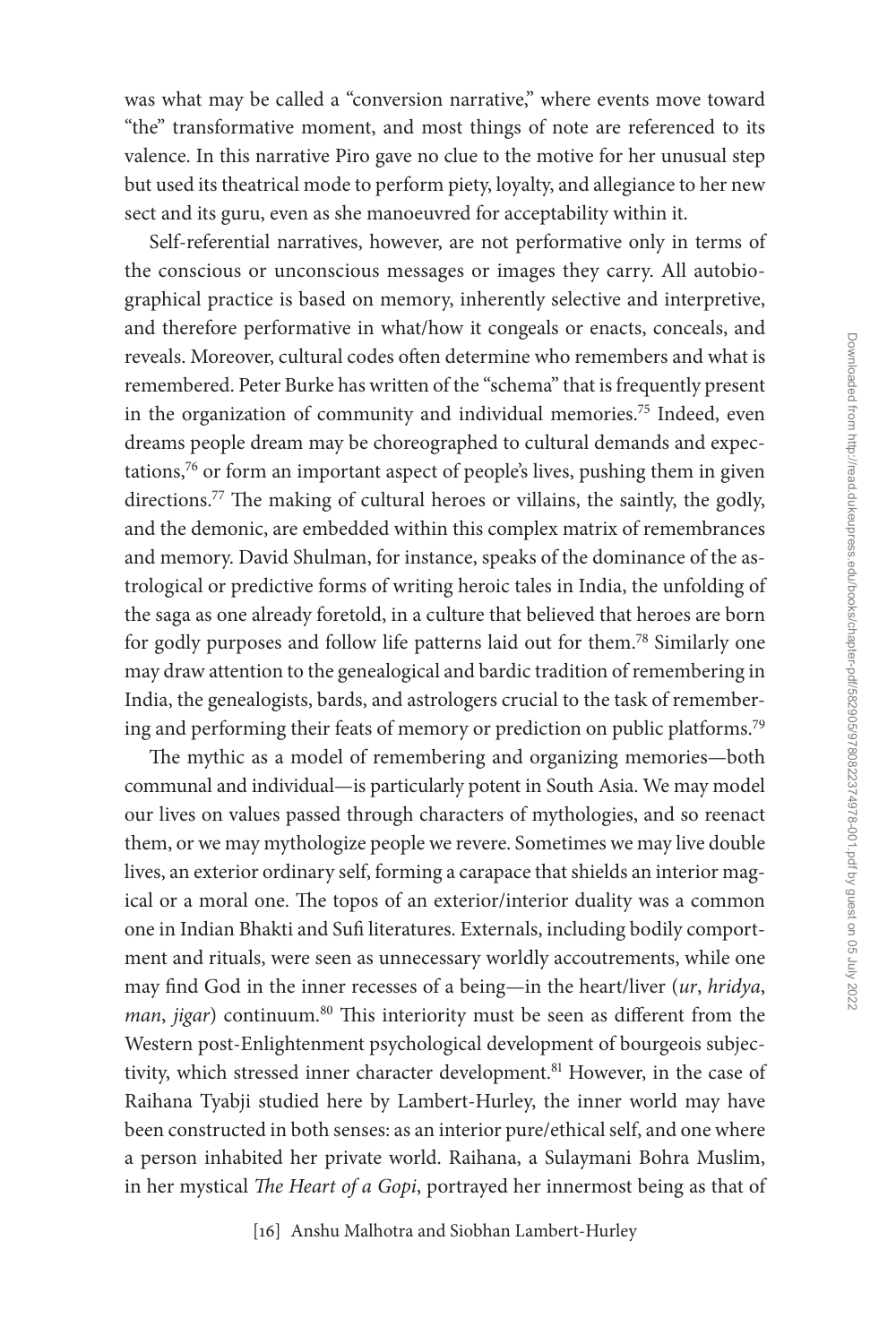was what may be called a "conversion narrative," where events move toward "the" transformative moment, and most things of note are referenced to its valence. In this narrative Piro gave no clue to the motive for her unusual step but used its theatrical mode to perform piety, loyalty, and allegiance to her new sect and its guru, even as she manoeuvred for acceptability within it.

Self-referential narratives, however, are not performative only in terms of the conscious or unconscious messages or images they carry. All autobiographical practice is based on memory, inherently selective and interpretive, and therefore performative in what/how it congeals or enacts, conceals, and reveals. Moreover, cultural codes often determine who remembers and what is remembered. Peter Burke has written of the "schema" that is frequently present in the organization of community and individual memories.[75](#page-27-0) Indeed, even dreams people dream may be choreographed to cultural demands and expectations[,76](#page-27-0) or form an important aspect of people's lives, pushing them in given directions.<sup>77</sup> The making of cultural heroes or villains, the saintly, the godly, and the demonic, are embedded within this complex matrix of remembrances and memory. David Shulman, for instance, speaks of the dominance of the astrological or predictive forms of writing heroic tales in India, the unfolding of the saga as one already foretold, in a culture that believed that heroes are born for godly purposes and follow life patterns laid out for them.<sup>78</sup> Similarly one may draw attention to the genealogical and bardic tradition of remembering in India, the genealogists, bards, and astrologers crucial to the task of remembering and performing their feats of memory or prediction on public platforms.[79](#page-27-0)

The mythic as a model of remembering and organizing memories—both communal and individual—is particularly potent in South Asia. We may model our lives on values passed through characters of mythologies, and so reenact them, or we may mythologize people we revere. Sometimes we may live double lives, an exterior ordinary self, forming a carapace that shields an interior magical or a moral one. The topos of an exterior/interior duality was a common one in Indian Bhakti and Sufi literatures. Externals, including bodily comportment and rituals, were seen as unnecessary worldly accoutrements, while one may find God in the inner recesses of a being—in the heart/liver (*ur*, *hridya*, *man, jigar*) continuum.<sup>80</sup> This interiority must be seen as different from the Western post-Enlightenment psychological development of bourgeois subjec-tivity, which stressed inner character development.<sup>[81](#page-28-0)</sup> However, in the case of Raihana Tyabji studied here by Lambert-Hurley, the inner world may have been constructed in both senses: as an interior pure/ethical self, and one where a person inhabited her private world. Raihana, a Sulaymani Bohra Muslim, in her mystical *The Heart of a Gopi*, portrayed her innermost being as that of

[16] Anshu Malhotra and Siobhan Lambert-Hurley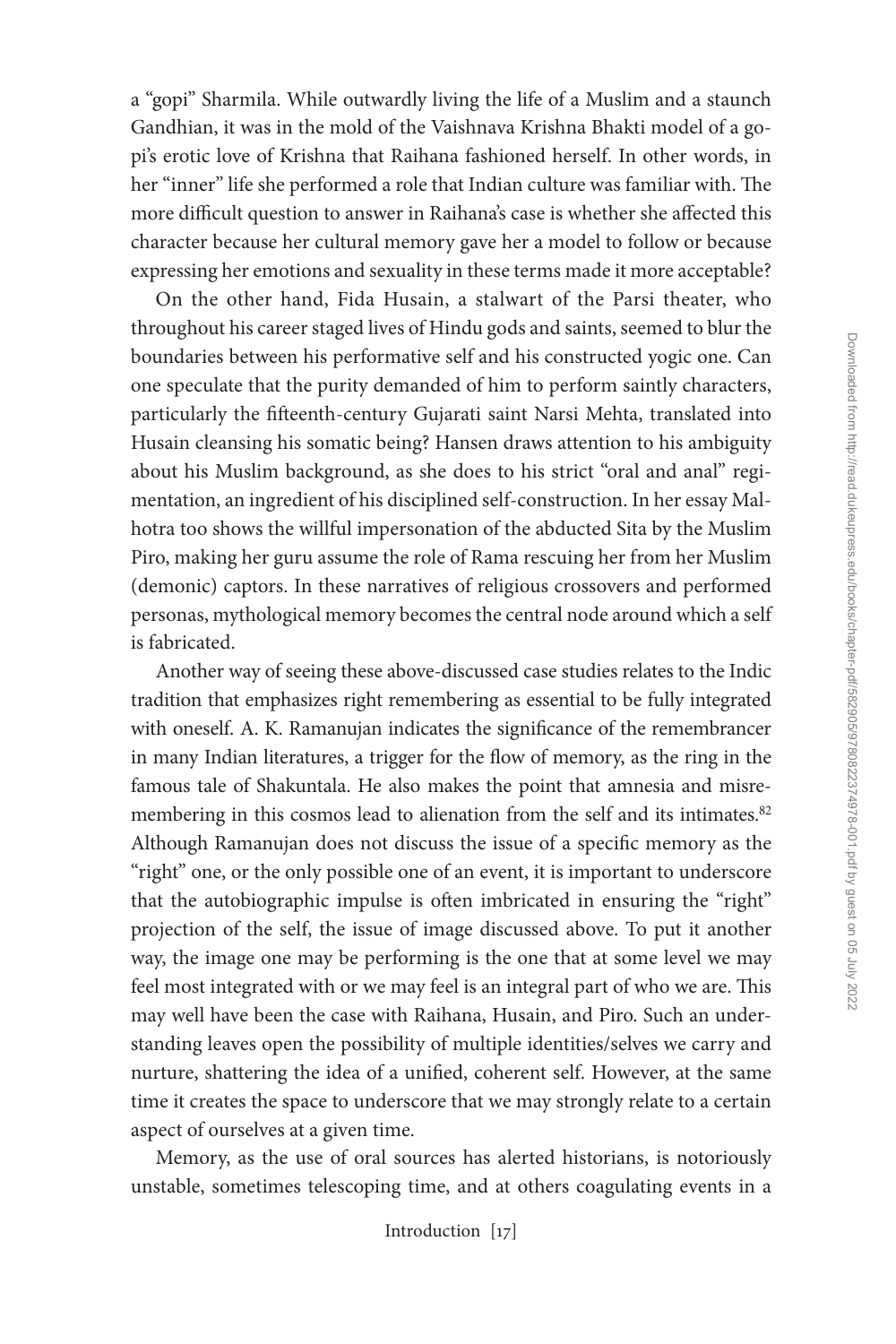a "gopi" Sharmila. While outwardly living the life of a Muslim and a staunch Gandhian, it was in the mold of the Vaishnava Krishna Bhakti model of a gopi's erotic love of Krishna that Raihana fashioned herself. In other words, in her "inner" life she performed a role that Indian culture was familiar with. The more difficult question to answer in Raihana's case is whether she affected this character because her cultural memory gave her a model to follow or because expressing her emotions and sexuality in these terms made it more acceptable?

On the other hand, Fida Husain, a stalwart of the Parsi theater, who throughout his career staged lives of Hindu gods and saints, seemed to blur the boundaries between his performative self and his constructed yogic one. Can one speculate that the purity demanded of him to perform saintly characters, particularly the fifteenth-century Gujarati saint Narsi Mehta, translated into Husain cleansing his somatic being? Hansen draws attention to his ambiguity about his Muslim background, as she does to his strict "oral and anal" regimentation, an ingredient of his disciplined self-construction. In her essay Malhotra too shows the willful impersonation of the abducted Sita by the Muslim Piro, making her guru assume the role of Rama rescuing her from her Muslim (demonic) captors. In these narratives of religious crossovers and performed personas, mythological memory becomes the central node around which a self is fabricated.

Another way of seeing these above-discussed case studies relates to the Indic tradition that emphasizes right remembering as essential to be fully integrated with oneself. A. K. Ramanujan indicates the significance of the remembrancer in many Indian literatures, a trigger for the flow of memory, as the ring in the famous tale of Shakuntala. He also makes the point that amnesia and misremembering in this cosmos lead to alienation from the self and its intimates.<sup>82</sup> Although Ramanujan does not discuss the issue of a specific memory as the "right" one, or the only possible one of an event, it is important to underscore that the autobiographic impulse is often imbricated in ensuring the "right" projection of the self, the issue of image discussed above. To put it another way, the image one may be performing is the one that at some level we may feel most integrated with or we may feel is an integral part of who we are. This may well have been the case with Raihana, Husain, and Piro. Such an understanding leaves open the possibility of multiple identities/selves we carry and nurture, shattering the idea of a unified, coherent self. However, at the same time it creates the space to underscore that we may strongly relate to a certain aspect of ourselves at a given time.

Memory, as the use of oral sources has alerted historians, is notoriously unstable, sometimes telescoping time, and at others coagulating events in a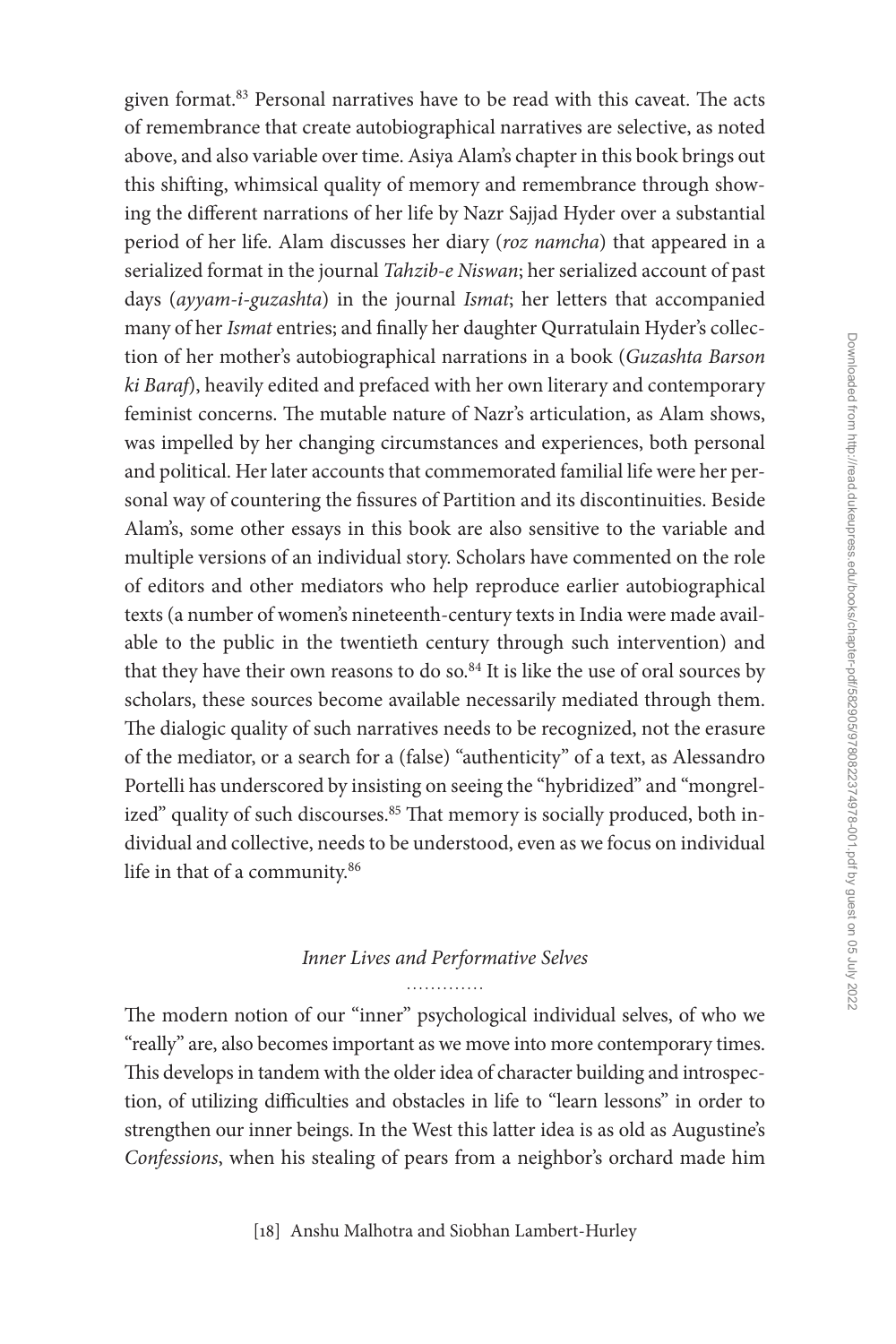given format.<sup>83</sup> Personal narratives have to be read with this caveat. The acts of remembrance that create autobiographical narratives are selective, as noted above, and also variable over time. Asiya Alam's chapter in this book brings out this shifting, whimsical quality of memory and remembrance through showing the different narrations of her life by Nazr Sajjad Hyder over a substantial period of her life. Alam discusses her diary (*roz namcha*) that appeared in a serialized format in the journal *Tahzib-e Niswan*; her serialized account of past days (*ayyam-i-guzashta*) in the journal *Ismat*; her letters that accompanied many of her *Ismat* entries; and finally her daughter Qurratulain Hyder's collection of her mother's autobiographical narrations in a book (*Guzashta Barson ki Baraf*), heavily edited and prefaced with her own literary and contemporary feminist concerns. The mutable nature of Nazr's articulation, as Alam shows, was impelled by her changing circumstances and experiences, both personal and political. Her later accounts that commemorated familial life were her personal way of countering the fissures of Partition and its discontinuities. Beside Alam's, some other essays in this book are also sensitive to the variable and multiple versions of an individual story. Scholars have commented on the role of editors and other mediators who help reproduce earlier autobiographical texts (a number of women's nineteenth-century texts in India were made available to the public in the twentieth century through such intervention) and that they have their own reasons to do so. $84$  It is like the use of oral sources by scholars, these sources become available necessarily mediated through them. The dialogic quality of such narratives needs to be recognized, not the erasure of the mediator, or a search for a (false) "authenticity" of a text, as Alessandro Portelli has underscored by insisting on seeing the "hybridized" and "mongrelized" quality of such discourses.<sup>85</sup> That memory is socially produced, both individual and collective, needs to be understood, even as we focus on individual life in that of a community.[86](#page-28-0)

# *Inner Lives and Performative Selves*

The modern notion of our "inner" psychological individual selves, of who we "really" are, also becomes important as we move into more contemporary times. This develops in tandem with the older idea of character building and introspection, of utilizing difficulties and obstacles in life to "learn lessons" in order to strengthen our inner beings. In the West this latter idea is as old as Augustine's *Confessions*, when his stealing of pears from a neighbor's orchard made him

[18] Anshu Malhotra and Siobhan Lambert-Hurley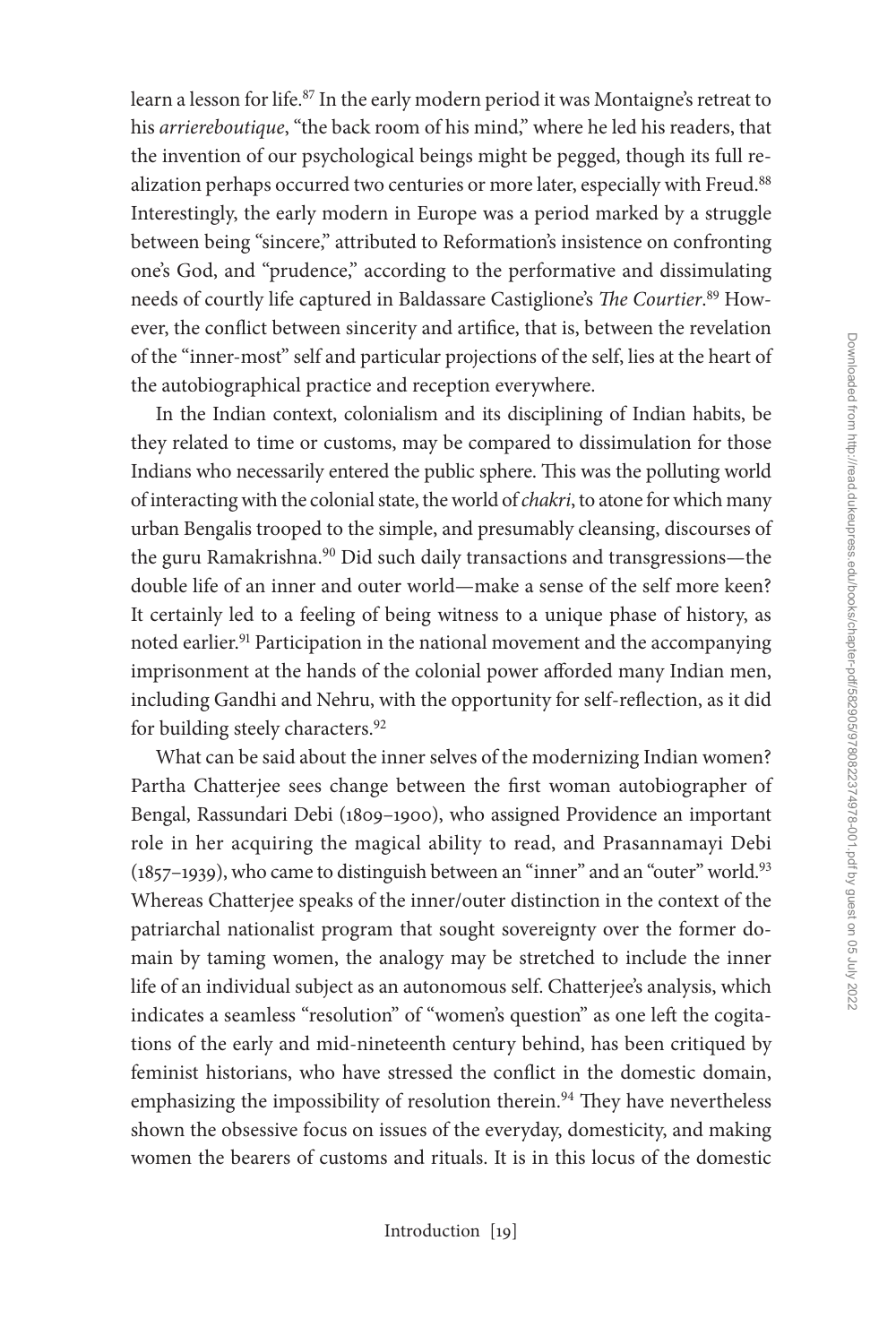learn a lesson for life.<sup>87</sup> In the early modern period it was Montaigne's retreat to his *arriereboutique*, "the back room of his mind," where he led his readers, that the invention of our psychological beings might be pegged, though its full re-alization perhaps occurred two centuries or more later, especially with Freud.<sup>[88](#page-28-0)</sup> Interestingly, the early modern in Europe was a period marked by a struggle between being "sincere," attributed to Reformation's insistence on confronting one's God, and "prudence," according to the performative and dissimulating needs of courtly life captured in Baldassare Castiglione's *The Courtier*. [89](#page-28-0) However, the conflict between sincerity and artifice, that is, between the revelation of the "inner-most" self and particular projections of the self, lies at the heart of the autobiographical practice and reception everywhere.

In the Indian context, colonialism and its disciplining of Indian habits, be they related to time or customs, may be compared to dissimulation for those Indians who necessarily entered the public sphere. This was the polluting world of interacting with the colonial state, the world of *chakri*, to atone for which many urban Bengalis trooped to the simple, and presumably cleansing, discourses of the guru Ramakrishna.<sup>90</sup> Did such daily transactions and transgressions—the double life of an inner and outer world—make a sense of the self more keen? It certainly led to a feeling of being witness to a unique phase of history, as noted earlier.<sup>91</sup> Participation in the national movement and the accompanying imprisonment at the hands of the colonial power afforded many Indian men, including Gandhi and Nehru, with the opportunity for self-reflection, as it did for building steely characters.<sup>92</sup>

What can be said about the inner selves of the modernizing Indian women? Partha Chatterjee sees change between the first woman autobiographer of Bengal, Rassundari Debi (1809–1900), who assigned Providence an important role in her acquiring the magical ability to read, and Prasannamayi Debi  $(1857-1939)$ , who came to distinguish between an "inner" and an "outer" world.<sup>93</sup> Whereas Chatterjee speaks of the inner/outer distinction in the context of the patriarchal nationalist program that sought sovereignty over the former domain by taming women, the analogy may be stretched to include the inner life of an individual subject as an autonomous self. Chatterjee's analysis, which indicates a seamless "resolution" of "women's question" as one left the cogitations of the early and mid-nineteenth century behind, has been critiqued by feminist historians, who have stressed the conflict in the domestic domain, emphasizing the impossibility of resolution therein.<sup>94</sup> They have nevertheless shown the obsessive focus on issues of the everyday, domesticity, and making women the bearers of customs and rituals. It is in this locus of the domestic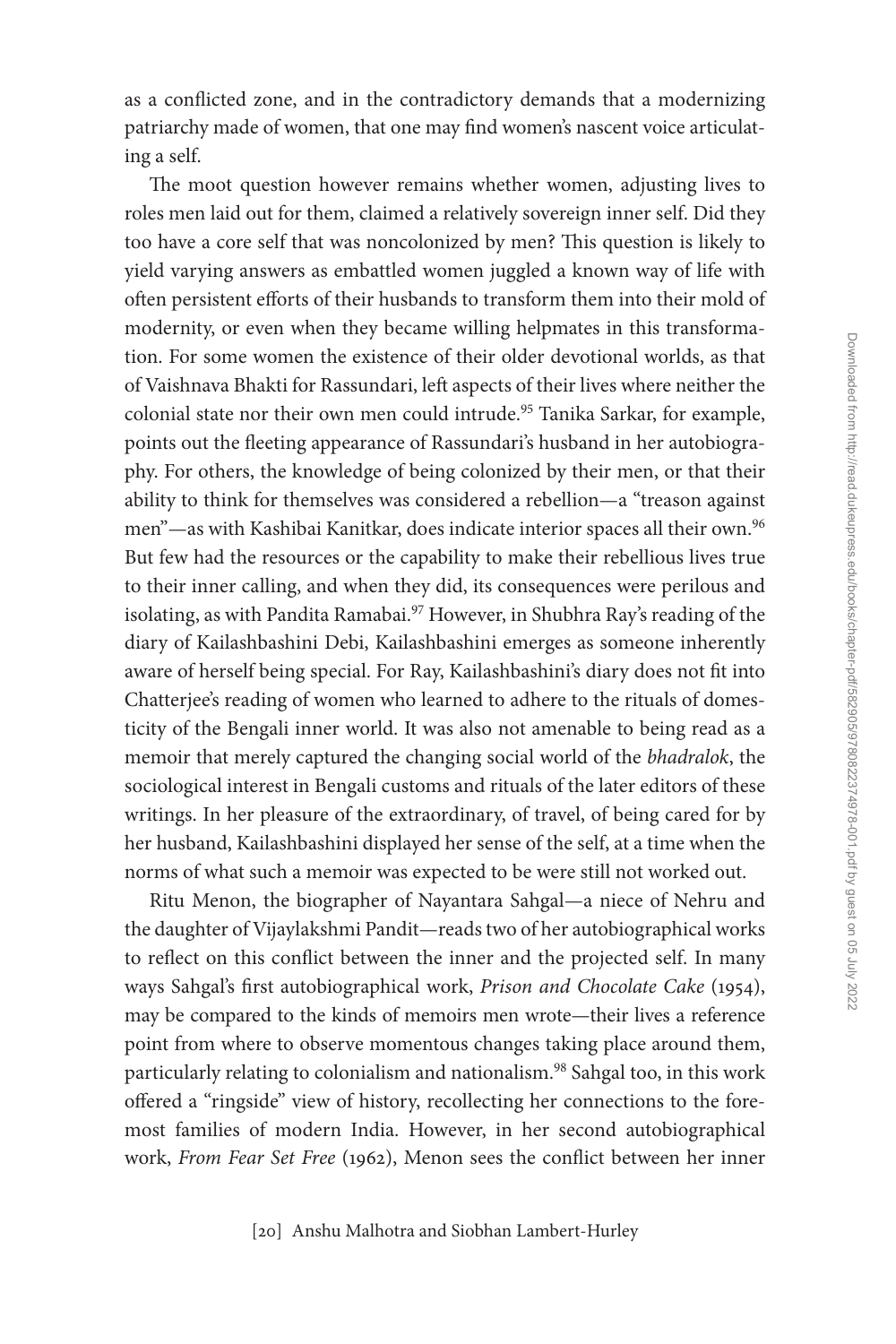as a conflicted zone, and in the contradictory demands that a modernizing patriarchy made of women, that one may find women's nascent voice articulating a self.

The moot question however remains whether women, adjusting lives to roles men laid out for them, claimed a relatively sovereign inner self. Did they too have a core self that was noncolonized by men? This question is likely to yield varying answers as embattled women juggled a known way of life with often persistent efforts of their husbands to transform them into their mold of modernity, or even when they became willing helpmates in this transformation. For some women the existence of their older devotional worlds, as that of Vaishnava Bhakti for Rassundari, left aspects of their lives where neither the colonial state nor their own men could intrude.<sup>95</sup> Tanika Sarkar, for example, points out the fleeting appearance of Rassundari's husband in her autobiography. For others, the knowledge of being colonized by their men, or that their ability to think for themselves was considered a rebellion—a "treason against men"—as with Kashibai Kanitkar, does indicate interior spaces all their own.[96](#page-29-0) But few had the resources or the capability to make their rebellious lives true to their inner calling, and when they did, its consequences were perilous and isolating, as with Pandita Ramabai.<sup>97</sup> However, in Shubhra Ray's reading of the diary of Kailashbashini Debi, Kailashbashini emerges as someone inherently aware of herself being special. For Ray, Kailashbashini's diary does not fit into Chatterjee's reading of women who learned to adhere to the rituals of domesticity of the Bengali inner world. It was also not amenable to being read as a memoir that merely captured the changing social world of the *bhadralok*, the sociological interest in Bengali customs and rituals of the later editors of these writings. In her pleasure of the extraordinary, of travel, of being cared for by her husband, Kailashbashini displayed her sense of the self, at a time when the norms of what such a memoir was expected to be were still not worked out.

Ritu Menon, the biographer of Nayantara Sahgal—a niece of Nehru and the daughter of Vijaylakshmi Pandit—reads two of her autobiographical works to reflect on this conflict between the inner and the projected self. In many ways Sahgal's first autobiographical work, *Prison and Chocolate Cake* (1954), may be compared to the kinds of memoirs men wrote—their lives a reference point from where to observe momentous changes taking place around them, particularly relating to colonialism and nationalism.<sup>98</sup> Sahgal too, in this work offered a "ringside" view of history, recollecting her connections to the foremost families of modern India. However, in her second autobiographical work, *From Fear Set Free* (1962), Menon sees the conflict between her inner

[20] Anshu Malhotra and Siobhan Lambert-Hurley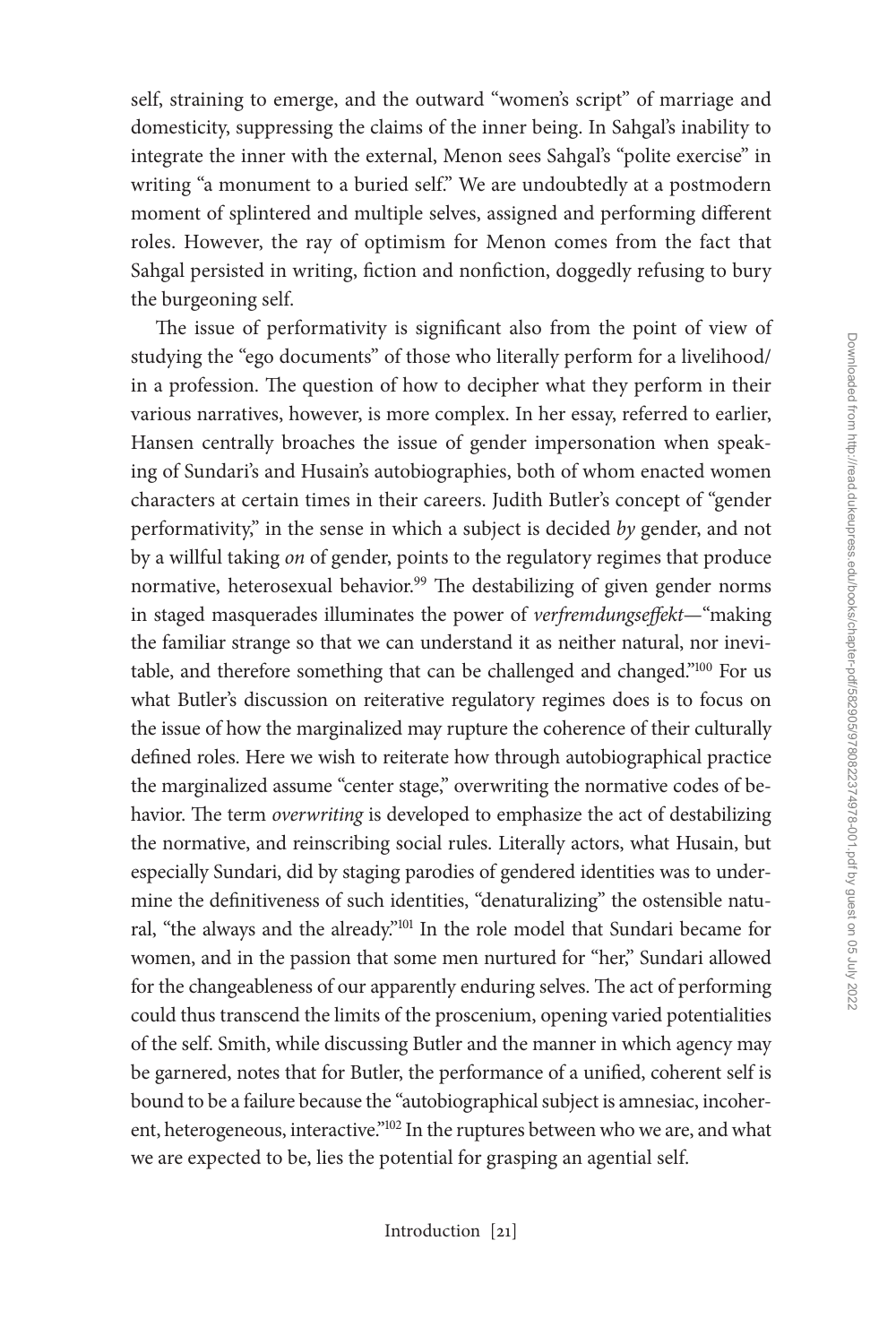self, straining to emerge, and the outward "women's script" of marriage and domesticity, suppressing the claims of the inner being. In Sahgal's inability to integrate the inner with the external, Menon sees Sahgal's "polite exercise" in writing "a monument to a buried self." We are undoubtedly at a postmodern moment of splintered and multiple selves, assigned and performing different roles. However, the ray of optimism for Menon comes from the fact that Sahgal persisted in writing, fiction and nonfiction, doggedly refusing to bury the burgeoning self.

The issue of performativity is significant also from the point of view of studying the "ego documents" of those who literally perform for a livelihood/ in a profession. The question of how to decipher what they perform in their various narratives, however, is more complex. In her essay, referred to earlier, Hansen centrally broaches the issue of gender impersonation when speaking of Sundari's and Husain's autobiographies, both of whom enacted women characters at certain times in their careers. Judith Butler's concept of "gender performativity," in the sense in which a subject is decided *by* gender, and not by a willful taking *on* of gender, points to the regulatory regimes that produce normative, heterosexual behavior.<sup>99</sup> The destabilizing of given gender norms in staged masquerades illuminates the power of *verfremdungseffekt*—"making the familiar strange so that we can understand it as neither natural, nor inevitable, and therefore something that can be challenged and changed.["100](#page-29-0) For us what Butler's discussion on reiterative regulatory regimes does is to focus on the issue of how the marginalized may rupture the coherence of their culturally defined roles. Here we wish to reiterate how through autobiographical practice the marginalized assume "center stage," overwriting the normative codes of behavior. The term *overwriting* is developed to emphasize the act of destabilizing the normative, and reinscribing social rules. Literally actors, what Husain, but especially Sundari, did by staging parodies of gendered identities was to undermine the definitiveness of such identities, "denaturalizing" the ostensible natural, "the always and the already.["101](#page-29-0) In the role model that Sundari became for women, and in the passion that some men nurtured for "her," Sundari allowed for the changeableness of our apparently enduring selves. The act of performing could thus transcend the limits of the proscenium, opening varied potentialities of the self. Smith, while discussing Butler and the manner in which agency may be garnered, notes that for Butler, the performance of a unified, coherent self is bound to be a failure because the "autobiographical subject is amnesiac, incoherent, heterogeneous, interactive."<sup>102</sup> In the ruptures between who we are, and what we are expected to be, lies the potential for grasping an agential self.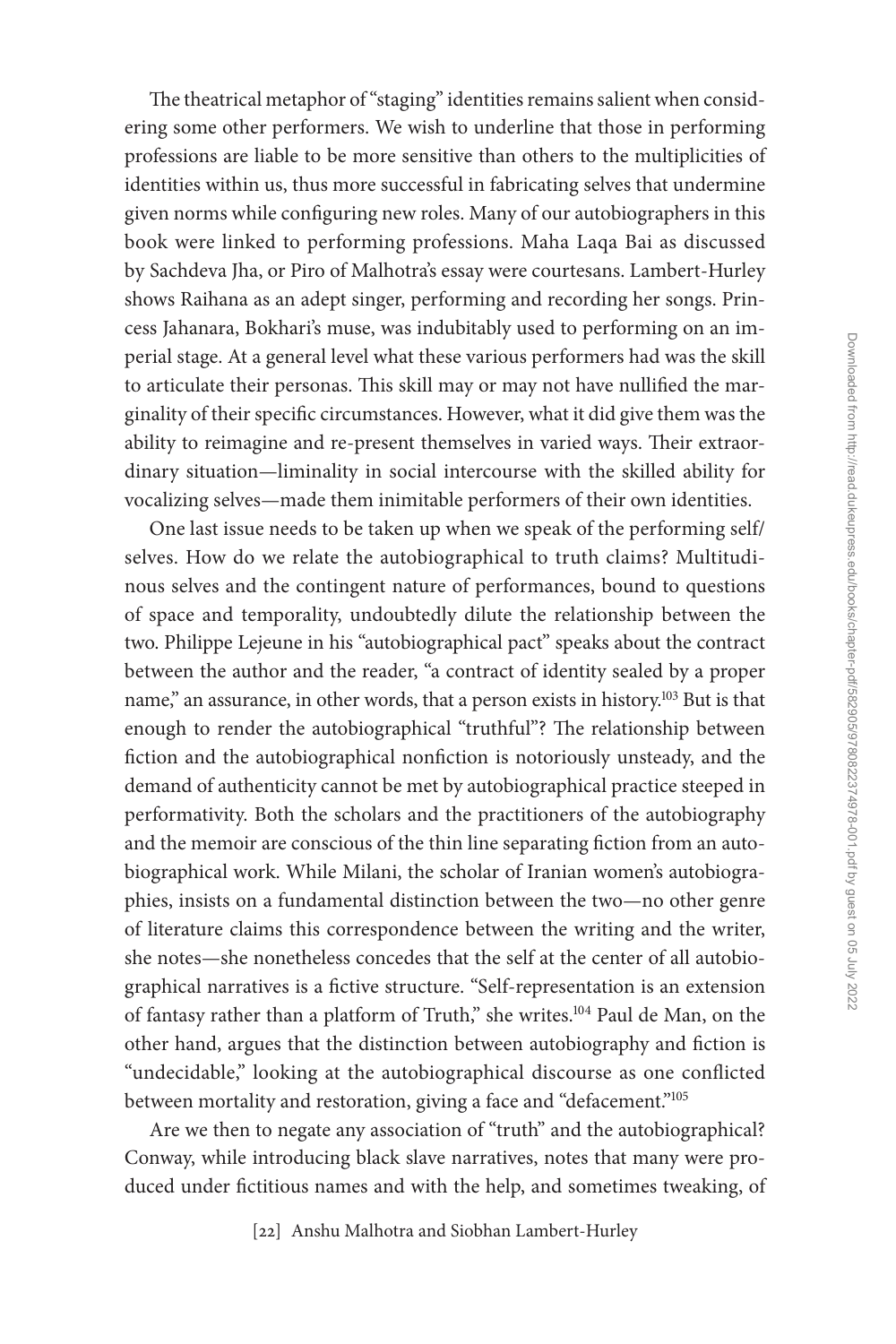The theatrical metaphor of "staging" identities remains salient when considering some other performers. We wish to underline that those in performing professions are liable to be more sensitive than others to the multiplicities of identities within us, thus more successful in fabricating selves that undermine given norms while configuring new roles. Many of our autobiographers in this book were linked to performing professions. Maha Laqa Bai as discussed by Sachdeva Jha, or Piro of Malhotra's essay were courtesans. Lambert-Hurley shows Raihana as an adept singer, performing and recording her songs. Princess Jahanara, Bokhari's muse, was indubitably used to performing on an imperial stage. At a general level what these various performers had was the skill to articulate their personas. This skill may or may not have nullified the marginality of their specific circumstances. However, what it did give them was the ability to reimagine and re-present themselves in varied ways. Their extraordinary situation—liminality in social intercourse with the skilled ability for vocalizing selves—made them inimitable performers of their own identities.

One last issue needs to be taken up when we speak of the performing self/ selves. How do we relate the autobiographical to truth claims? Multitudinous selves and the contingent nature of performances, bound to questions of space and temporality, undoubtedly dilute the relationship between the two. Philippe Lejeune in his "autobiographical pact" speaks about the contract between the author and the reader, "a contract of identity sealed by a proper name," an assurance, in other words, that a person exists in history.<sup>103</sup> But is that enough to render the autobiographical "truthful"? The relationship between fiction and the autobiographical nonfiction is notoriously unsteady, and the demand of authenticity cannot be met by autobiographical practice steeped in performativity. Both the scholars and the practitioners of the autobiography and the memoir are conscious of the thin line separating fiction from an autobiographical work. While Milani, the scholar of Iranian women's autobiographies, insists on a fundamental distinction between the two—no other genre of literature claims this correspondence between the writing and the writer, she notes—she nonetheless concedes that the self at the center of all autobiographical narratives is a fictive structure. "Self-representation is an extension of fantasy rather than a platform of Truth," she writes.<sup>104</sup> Paul de Man, on the other hand, argues that the distinction between autobiography and fiction is "undecidable," looking at the autobiographical discourse as one conflicted between mortality and restoration, giving a face and "defacement."<sup>[105](#page-29-0)</sup>

Are we then to negate any association of "truth" and the autobiographical? Conway, while introducing black slave narratives, notes that many were produced under fictitious names and with the help, and sometimes tweaking, of

[22] Anshu Malhotra and Siobhan Lambert-Hurley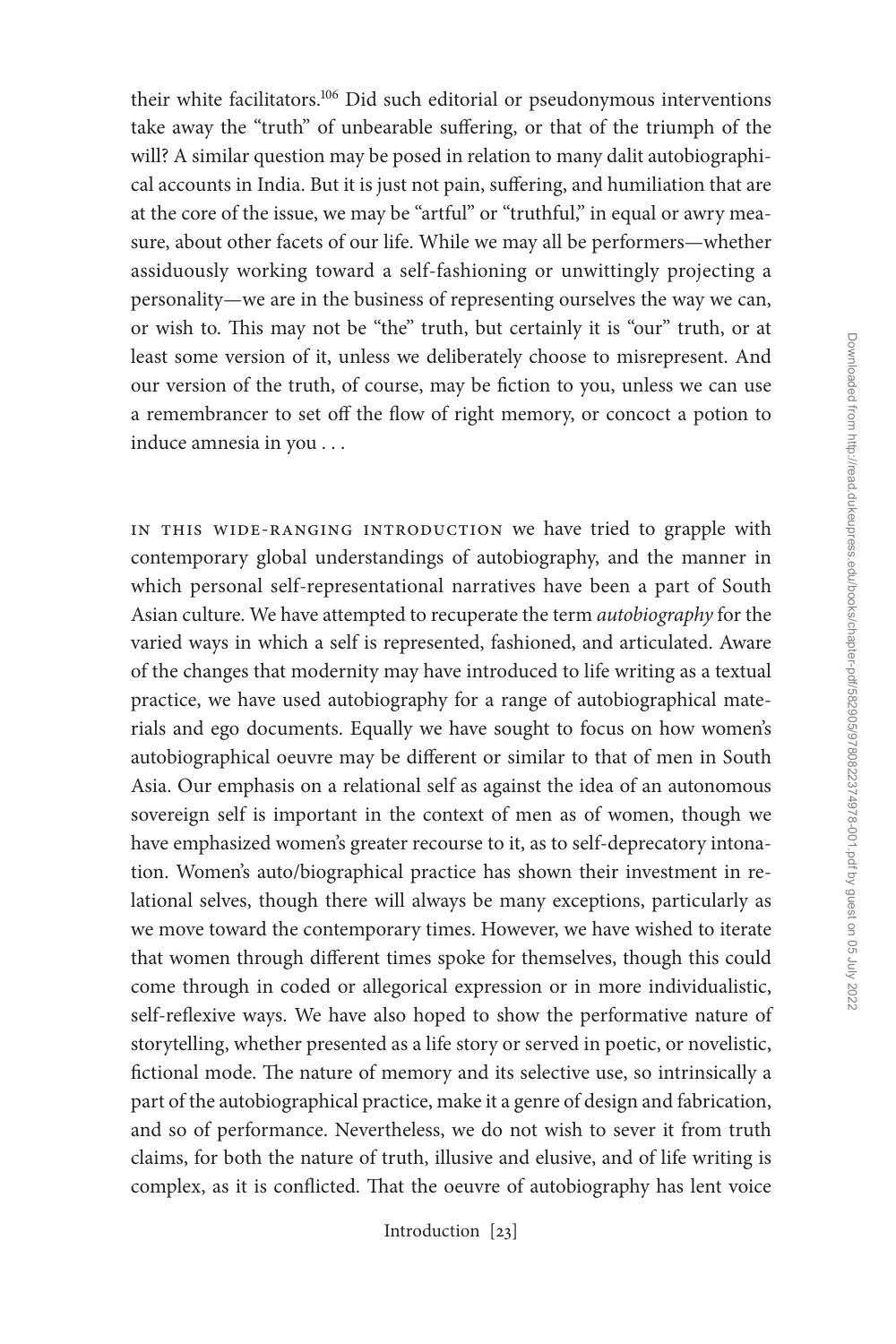their white facilitators.[106](#page-29-0) Did such editorial or pseudonymous interventions take away the "truth" of unbearable suffering, or that of the triumph of the will? A similar question may be posed in relation to many dalit autobiographical accounts in India. But it is just not pain, suffering, and humiliation that are at the core of the issue, we may be "artful" or "truthful," in equal or awry measure, about other facets of our life. While we may all be performers—whether assiduously working toward a self-fashioning or unwittingly projecting a personality—we are in the business of representing ourselves the way we can, or wish to. This may not be "the" truth, but certainly it is "our" truth, or at least some version of it, unless we deliberately choose to misrepresent. And our version of the truth, of course, may be fiction to you, unless we can use a remembrancer to set off the flow of right memory, or concoct a potion to induce amnesia in you . . .

IN THIS WIDE-RANGING INTRODUCTION we have tried to grapple with contemporary global understandings of autobiography, and the manner in which personal self-representational narratives have been a part of South Asian culture. We have attempted to recuperate the term *autobiography* for the varied ways in which a self is represented, fashioned, and articulated. Aware of the changes that modernity may have introduced to life writing as a textual practice, we have used autobiography for a range of autobiographical materials and ego documents. Equally we have sought to focus on how women's autobiographical oeuvre may be different or similar to that of men in South Asia. Our emphasis on a relational self as against the idea of an autonomous sovereign self is important in the context of men as of women, though we have emphasized women's greater recourse to it, as to self-deprecatory intonation. Women's auto/biographical practice has shown their investment in relational selves, though there will always be many exceptions, particularly as we move toward the contemporary times. However, we have wished to iterate that women through different times spoke for themselves, though this could come through in coded or allegorical expression or in more individualistic, self-reflexive ways. We have also hoped to show the performative nature of storytelling, whether presented as a life story or served in poetic, or novelistic, fictional mode. The nature of memory and its selective use, so intrinsically a part of the autobiographical practice, make it a genre of design and fabrication, and so of performance. Nevertheless, we do not wish to sever it from truth claims, for both the nature of truth, illusive and elusive, and of life writing is complex, as it is conflicted. That the oeuvre of autobiography has lent voice

Introduction [23]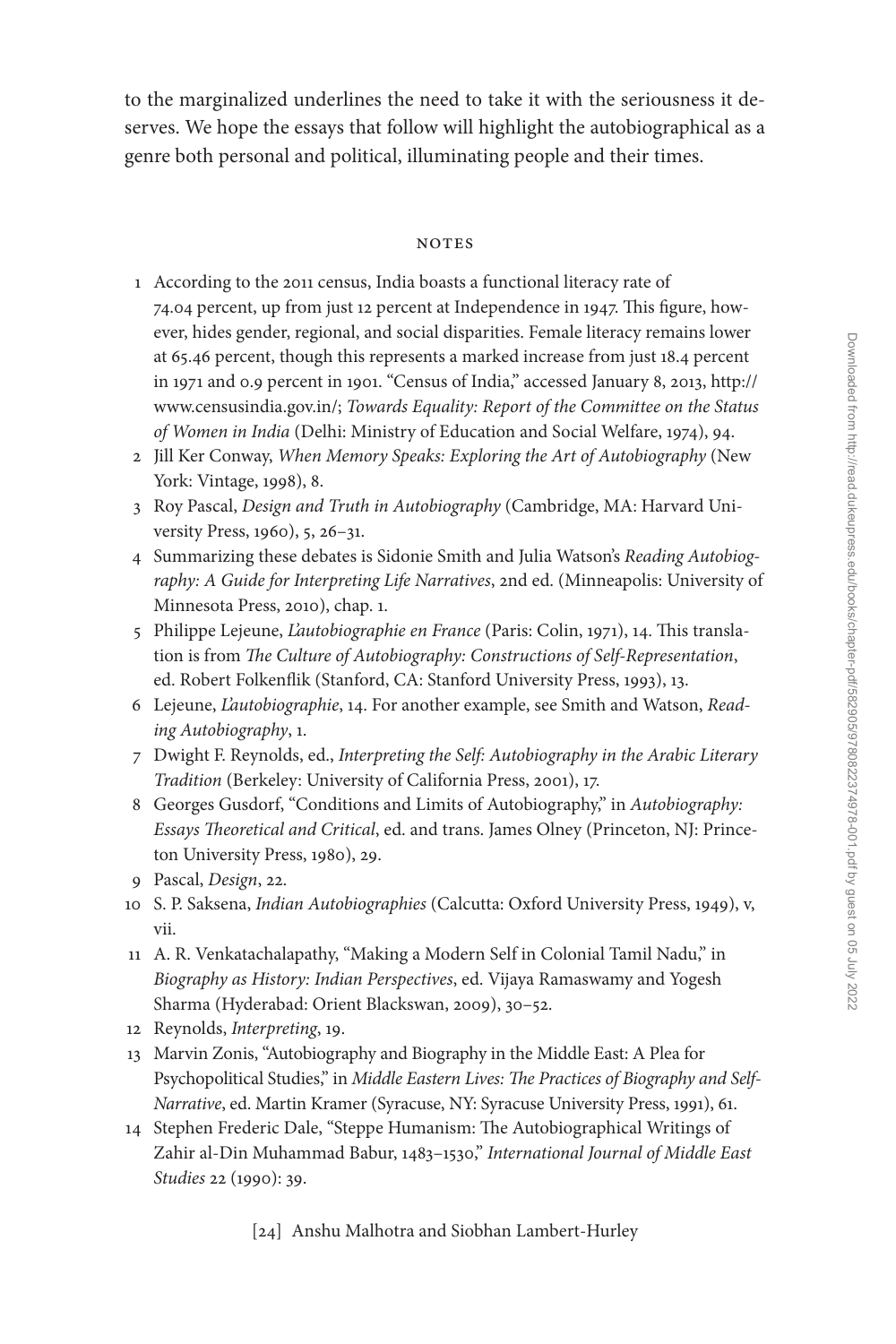<span id="page-23-0"></span>to the marginalized underlines the need to take it with the seriousness it deserves. We hope the essays that follow will highlight the autobiographical as a genre both personal and political, illuminating people and their times.

#### **NOTES**

- 1 According to the 2011 census, India boasts a functional literacy rate of 74.04 percent, up from just 12 percent at Independence in 1947. This figure, however, hides gender, regional, and social disparities. Female literacy remains lower at 65.46 percent, though this represents a marked increase from just 18.4 percent in 1971 and 0.9 percent in 1901. "Census of India," accessed January 8, 2013, [http://](http://www.censusindia.gov.in/) [www.censusindia.gov.in/;](http://www.censusindia.gov.in/) *Towards Equality: Report of the Committee on the Status of Women in India* (Delhi: Ministry of Education and Social Welfare, 1974), 94.
- 2 Jill Ker Conway, *When Memory Speaks: Exploring the Art of Autobiography* (New York: Vintage, 1998), 8.
- 3 Roy Pascal, *Design and Truth in Autobiography* (Cambridge, MA: Harvard University Press, 1960), 5, 26–31.
- 4 Summarizing these debates is Sidonie Smith and Julia Watson's *Reading Autobiography: A Guide for Interpreting Life Narratives*, 2nd ed. (Minneapolis: University of Minnesota Press, 2010), chap. 1.
- 5 Philippe Lejeune, *L'autobiographie en France* (Paris: Colin, 1971), 14. This translation is from *The Culture of Autobiography: Constructions of Self-Representation*, ed. Robert Folkenflik (Stanford, CA: Stanford University Press, 1993), 13.
- 6 Lejeune, *L'autobiographie*, 14. For another example, see Smith and Watson, *Reading Autobiography*, 1.
- 7 Dwight F. Reynolds, ed., *Interpreting the Self: Autobiography in the Arabic Literary Tradition* (Berkeley: University of California Press, 2001), 17.
- 8 Georges Gusdorf, "Conditions and Limits of Autobiography," in *Autobiography: Essays Theoretical and Critical*, ed. and trans. James Olney (Princeton, NJ: Princeton University Press, 1980), 29.
- 9 Pascal, *Design*, 22.
- 10 S. P. Saksena, *Indian Autobiographies* (Calcutta: Oxford University Press, 1949), v, vii.
- 11 A. R. Venkatachalapathy, "Making a Modern Self in Colonial Tamil Nadu," in *Biography as History: Indian Perspectives*, ed. Vijaya Ramaswamy and Yogesh Sharma (Hyderabad: Orient Blackswan, 2009), 30–52.
- 12 Reynolds, *Interpreting*, 19.
- 13 Marvin Zonis, "Autobiography and Biography in the Middle East: A Plea for Psychopolitical Studies," in *Middle Eastern Lives: The Practices of Biography and Self-Narrative*, ed. Martin Kramer (Syracuse, NY: Syracuse University Press, 1991), 61.
- 14 Stephen Frederic Dale, "Steppe Humanism: The Autobiographical Writings of Zahir al-Din Muhammad Babur, 1483–1530," *International Journal of Middle East Studies* 22 (1990): 39.

[24] Anshu Malhotra and Siobhan Lambert-Hurley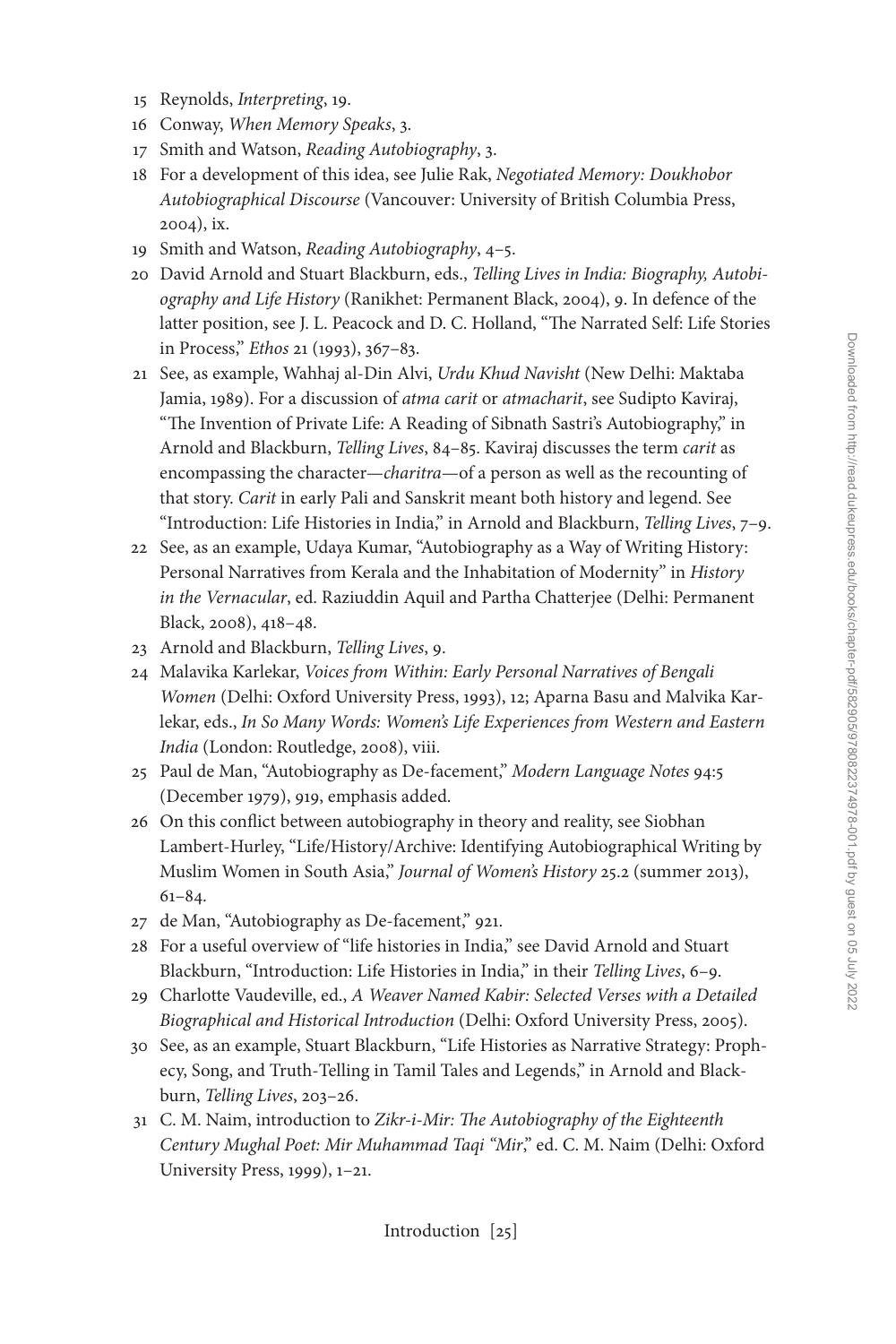- <span id="page-24-0"></span>15 Reynolds, *Interpreting*, 19.
- 16 Conway, *When Memory Speaks*, 3.
- 17 Smith and Watson, *Reading Autobiography*, 3.
- 18 For a development of this idea, see Julie Rak, *Negotiated Memory: Doukhobor Autobiographical Discourse* (Vancouver: University of British Columbia Press, 2004), ix.
- 19 Smith and Watson, *Reading Autobiography*, 4–5.
- 20 David Arnold and Stuart Blackburn, eds., *Telling Lives in India: Biography, Autobiography and Life History* (Ranikhet: Permanent Black, 2004), 9. In defence of the latter position, see J. L. Peacock and D. C. Holland, "The Narrated Self: Life Stories in Process," *Ethos* 21 (1993), 367–83.
- 21 See, as example, Wahhaj al-Din Alvi, *Urdu Khud Navisht* (New Delhi: Maktaba Jamia, 1989). For a discussion of *atma carit* or *atmacharit*, see Sudipto Kaviraj, "The Invention of Private Life: A Reading of Sibnath Sastri's Autobiography," in Arnold and Blackburn, *Telling Lives*, 84–85. Kaviraj discusses the term *carit* as encompassing the character—*charitra*—of a person as well as the recounting of that story. *Carit* in early Pali and Sanskrit meant both history and legend. See "Introduction: Life Histories in India," in Arnold and Blackburn, *Telling Lives*, 7–9.
- 22 See, as an example, Udaya Kumar, "Autobiography as a Way of Writing History: Personal Narratives from Kerala and the Inhabitation of Modernity" in *History in the Vernacular*, ed. Raziuddin Aquil and Partha Chatterjee (Delhi: Permanent Black, 2008), 418–48.
- 23 Arnold and Blackburn, *Telling Lives*, 9.
- 24 Malavika Karlekar, *Voices from Within: Early Personal Narratives of Bengali Women* (Delhi: Oxford University Press, 1993), 12; Aparna Basu and Malvika Karlekar, eds., *In So Many Words: Women's Life Experiences from Western and Eastern India* (London: Routledge, 2008), viii.
- 25 Paul de Man, "Autobiography as De-facement," *Modern Language Notes* 94:5 (December 1979), 919, emphasis added.
- 26 On this conflict between autobiography in theory and reality, see Siobhan Lambert-Hurley, "Life/History/Archive: Identifying Autobiographical Writing by Muslim Women in South Asia," *Journal of Women's History* 25.2 (summer 2013), 61–84.
- 27 de Man, "Autobiography as De-facement," 921.
- 28 For a useful overview of "life histories in India," see David Arnold and Stuart Blackburn, "Introduction: Life Histories in India," in their *Telling Lives*, 6–9.
- 29 Charlotte Vaudeville, ed., *A Weaver Named Kabir: Selected Verses with a Detailed Biographical and Historical Introduction* (Delhi: Oxford University Press, 2005).
- 30 See, as an example, Stuart Blackburn, "Life Histories as Narrative Strategy: Prophecy, Song, and Truth-Telling in Tamil Tales and Legends," in Arnold and Blackburn, *Telling Lives*, 203–26.
- 31 C. M. Naim, introduction to *Zikr-i-Mir: The Autobiography of the Eighteenth Century Mughal Poet: Mir Muhammad Taqi "Mir*," ed. C. M. Naim (Delhi: Oxford University Press, 1999), 1–21.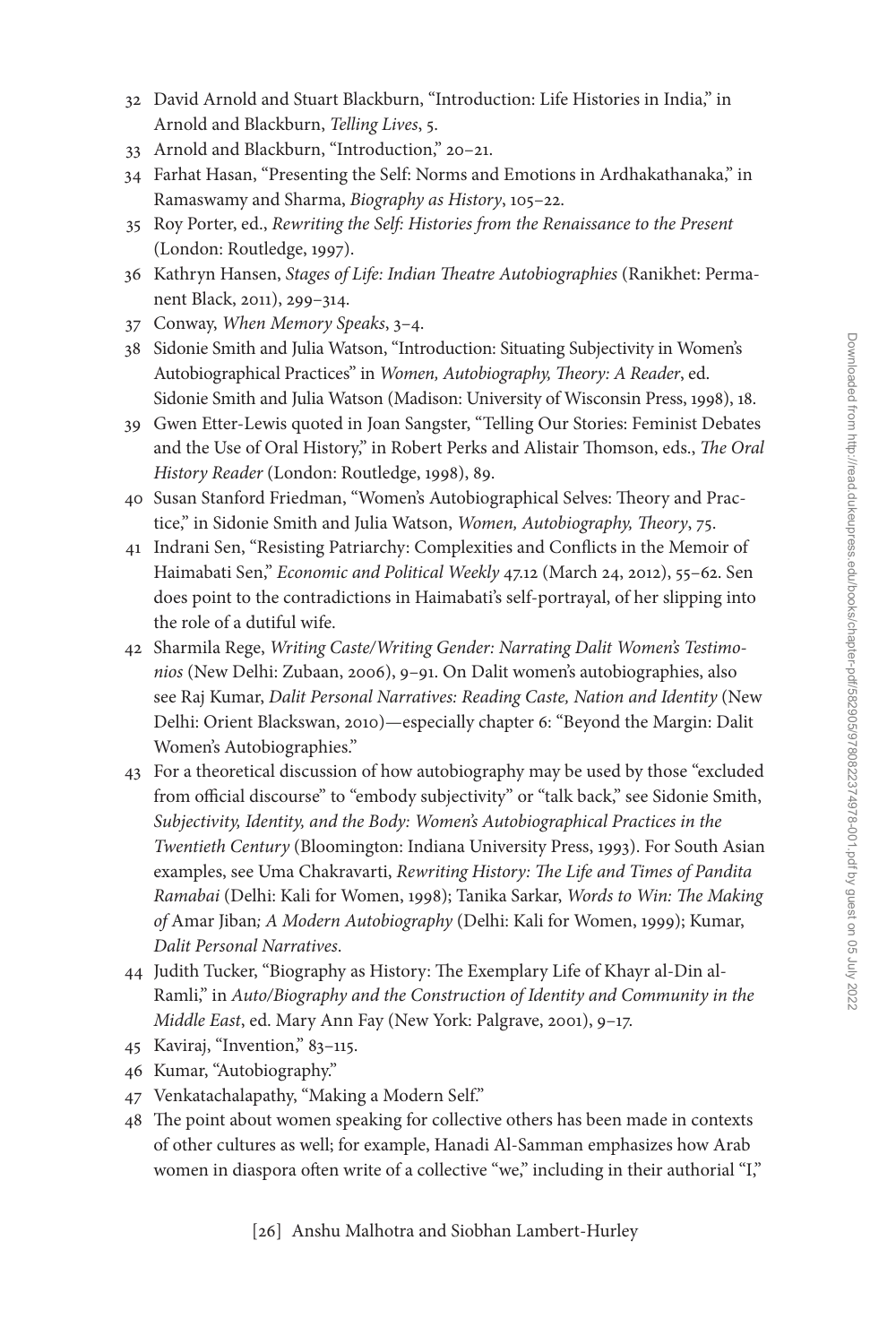- <span id="page-25-0"></span>32 David Arnold and Stuart Blackburn, "Introduction: Life Histories in India," in Arnold and Blackburn, *Telling Lives*, 5.
- 33 Arnold and Blackburn, "Introduction," 20–21.
- 34 Farhat Hasan, "Presenting the Self: Norms and Emotions in Ardhakathanaka," in Ramaswamy and Sharma, *Biography as History*, 105–22.
- 35 Roy Porter, ed., *Rewriting the Self: Histories from the Renaissance to the Present* (London: Routledge, 1997).
- 36 Kathryn Hansen, *Stages of Life: Indian Theatre Autobiographies* (Ranikhet: Permanent Black, 2011), 299–314.
- 37 Conway, *When Memory Speaks*, 3–4.
- 38 Sidonie Smith and Julia Watson, "Introduction: Situating Subjectivity in Women's Autobiographical Practices" in *Women, Autobiography, Theory: A Reader*, ed. Sidonie Smith and Julia Watson (Madison: University of Wisconsin Press, 1998), 18.
- 39 Gwen Etter-Lewis quoted in Joan Sangster, "Telling Our Stories: Feminist Debates and the Use of Oral History," in Robert Perks and Alistair Thomson, eds., *The Oral History Reader* (London: Routledge, 1998), 89.
- 40 Susan Stanford Friedman, "Women's Autobiographical Selves: Theory and Practice," in Sidonie Smith and Julia Watson, *Women, Autobiography, Theory*, 75.
- 41 Indrani Sen, "Resisting Patriarchy: Complexities and Conflicts in the Memoir of Haimabati Sen," *Economic and Political Weekly* 47.12 (March 24, 2012), 55–62. Sen does point to the contradictions in Haimabati's self-portrayal, of her slipping into the role of a dutiful wife.
- 42 Sharmila Rege, *Writing Caste/Writing Gender: Narrating Dalit Women's Testimonios* (New Delhi: Zubaan, 2006), 9–91. On Dalit women's autobiographies, also see Raj Kumar, *Dalit Personal Narratives: Reading Caste, Nation and Identity* (New Delhi: Orient Blackswan, 2010)—especially chapter 6: "Beyond the Margin: Dalit Women's Autobiographies."
- 43 For a theoretical discussion of how autobiography may be used by those "excluded from official discourse" to "embody subjectivity" or "talk back," see Sidonie Smith, *Subjectivity, Identity, and the Body: Women's Autobiographical Practices in the Twentieth Century* (Bloomington: Indiana University Press, 1993). For South Asian examples, see Uma Chakravarti, *Rewriting History: The Life and Times of Pandita Ramabai* (Delhi: Kali for Women, 1998); Tanika Sarkar, *Words to Win: The Making of* Amar Jiban*; A Modern Autobiography* (Delhi: Kali for Women, 1999); Kumar, *Dalit Personal Narratives*.
- 44 Judith Tucker, "Biography as History: The Exemplary Life of Khayr al-Din al-Ramli," in *Auto/Biography and the Construction of Identity and Community in the Middle East*, ed. Mary Ann Fay (New York: Palgrave, 2001), 9–17.
- 45 Kaviraj, "Invention," 83–115.
- 46 Kumar, "Autobiography."
- 47 Venkatachalapathy, "Making a Modern Self."
- 48 The point about women speaking for collective others has been made in contexts of other cultures as well; for example, Hanadi Al-Samman emphasizes how Arab women in diaspora often write of a collective "we," including in their authorial "I,"

[26] Anshu Malhotra and Siobhan Lambert-Hurley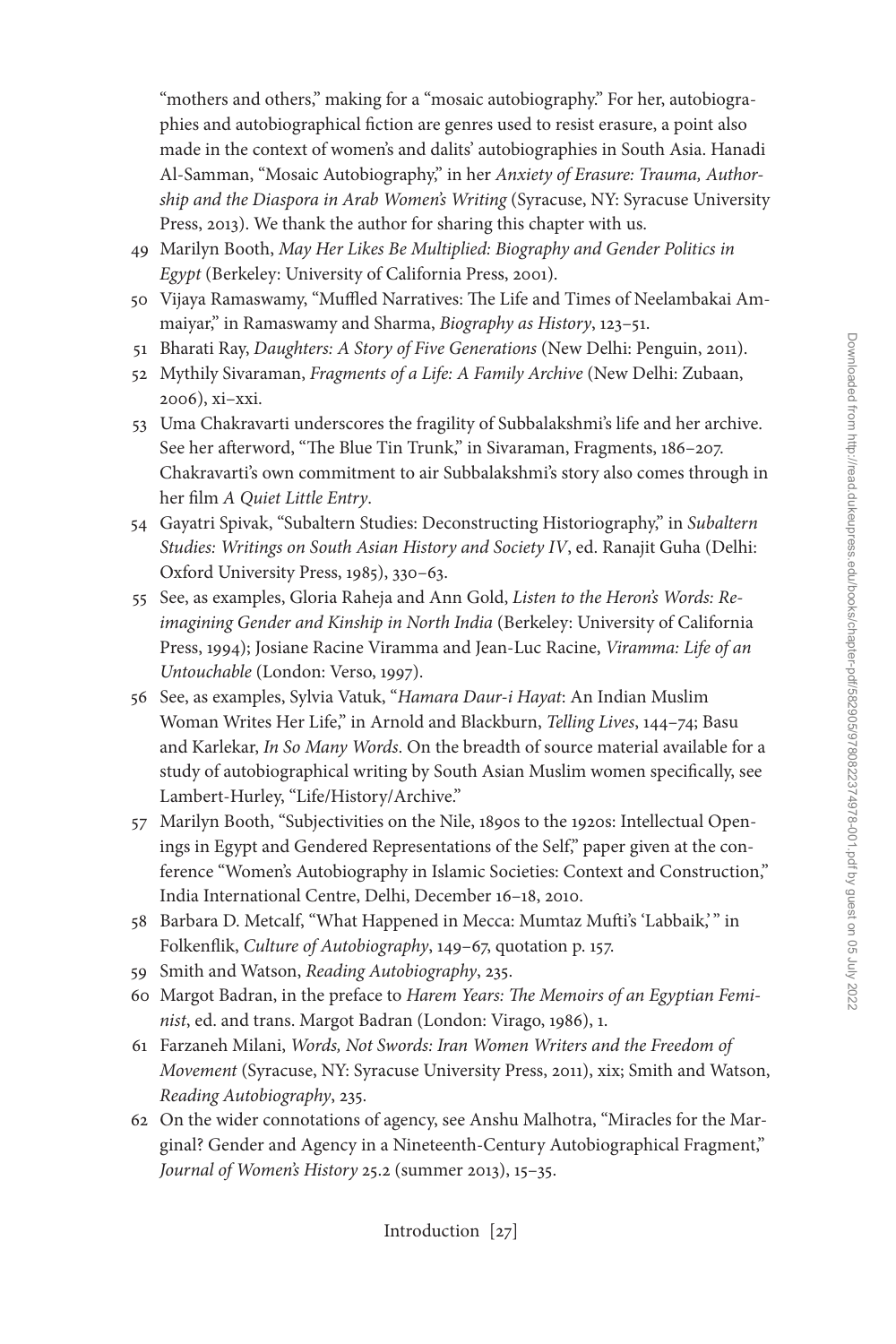<span id="page-26-0"></span>"mothers and others," making for a "mosaic autobiography." For her, autobiographies and autobiographical fiction are genres used to resist erasure, a point also made in the context of women's and dalits' autobiographies in South Asia. Hanadi Al-Samman, "Mosaic Autobiography," in her *Anxiety of Erasure: Trauma, Authorship and the Diaspora in Arab Women's Writing* (Syracuse, NY: Syracuse University Press, 2013). We thank the author for sharing this chapter with us.

- 49 Marilyn Booth, *May Her Likes Be Multiplied: Biography and Gender Politics in Egypt* (Berkeley: University of California Press, 2001).
- 50 Vijaya Ramaswamy, "Muffled Narratives: The Life and Times of Neelambakai Ammaiyar," in Ramaswamy and Sharma, *Biography as History*, 123–51.
- 51 Bharati Ray, *Daughters: A Story of Five Generations* (New Delhi: Penguin, 2011).
- 52 Mythily Sivaraman, *Fragments of a Life: A Family Archive* (New Delhi: Zubaan, 2006), xi–xxi.
- 53 Uma Chakravarti underscores the fragility of Subbalakshmi's life and her archive. See her afterword, "The Blue Tin Trunk," in Sivaraman, Fragments, 186–207. Chakravarti's own commitment to air Subbalakshmi's story also comes through in her film *A Quiet Little Entry*.
- 54 Gayatri Spivak, "Subaltern Studies: Deconstructing Historiography," in *Subaltern Studies: Writings on South Asian History and Society IV*, ed. Ranajit Guha (Delhi: Oxford University Press, 1985), 330–63.
- 55 See, as examples, Gloria Raheja and Ann Gold, *Listen to the Heron's Words: Reimagining Gender and Kinship in North India* (Berkeley: University of California Press, 1994); Josiane Racine Viramma and Jean-Luc Racine, *Viramma: Life of an Untouchable* (London: Verso, 1997).
- 56 See, as examples, Sylvia Vatuk, "*Hamara Daur-i Hayat*: An Indian Muslim Woman Writes Her Life," in Arnold and Blackburn, *Telling Lives*, 144–74; Basu and Karlekar, *In So Many Words*. On the breadth of source material available for a study of autobiographical writing by South Asian Muslim women specifically, see Lambert-Hurley, "Life/History/Archive."
- 57 Marilyn Booth, "Subjectivities on the Nile, 1890s to the 1920s: Intellectual Openings in Egypt and Gendered Representations of the Self," paper given at the conference "Women's Autobiography in Islamic Societies: Context and Construction," India International Centre, Delhi, December 16–18, 2010.
- 58 Barbara D. Metcalf, "What Happened in Mecca: Mumtaz Mufti's 'Labbaik,'" in Folkenflik, *Culture of Autobiography*, 149–67, quotation p. 157.
- 59 Smith and Watson, *Reading Autobiography*, 235.
- 60 Margot Badran, in the preface to *Harem Years: The Memoirs of an Egyptian Feminist*, ed. and trans. Margot Badran (London: Virago, 1986), 1.
- 61 Farzaneh Milani, *Words, Not Swords: Iran Women Writers and the Freedom of Movement* (Syracuse, NY: Syracuse University Press, 2011), xix; Smith and Watson, *Reading Autobiography*, 235.
- 62 On the wider connotations of agency, see Anshu Malhotra, "Miracles for the Marginal? Gender and Agency in a Nineteenth-Century Autobiographical Fragment," *Journal of Women's History* 25.2 (summer 2013), 15–35.

Introduction [27]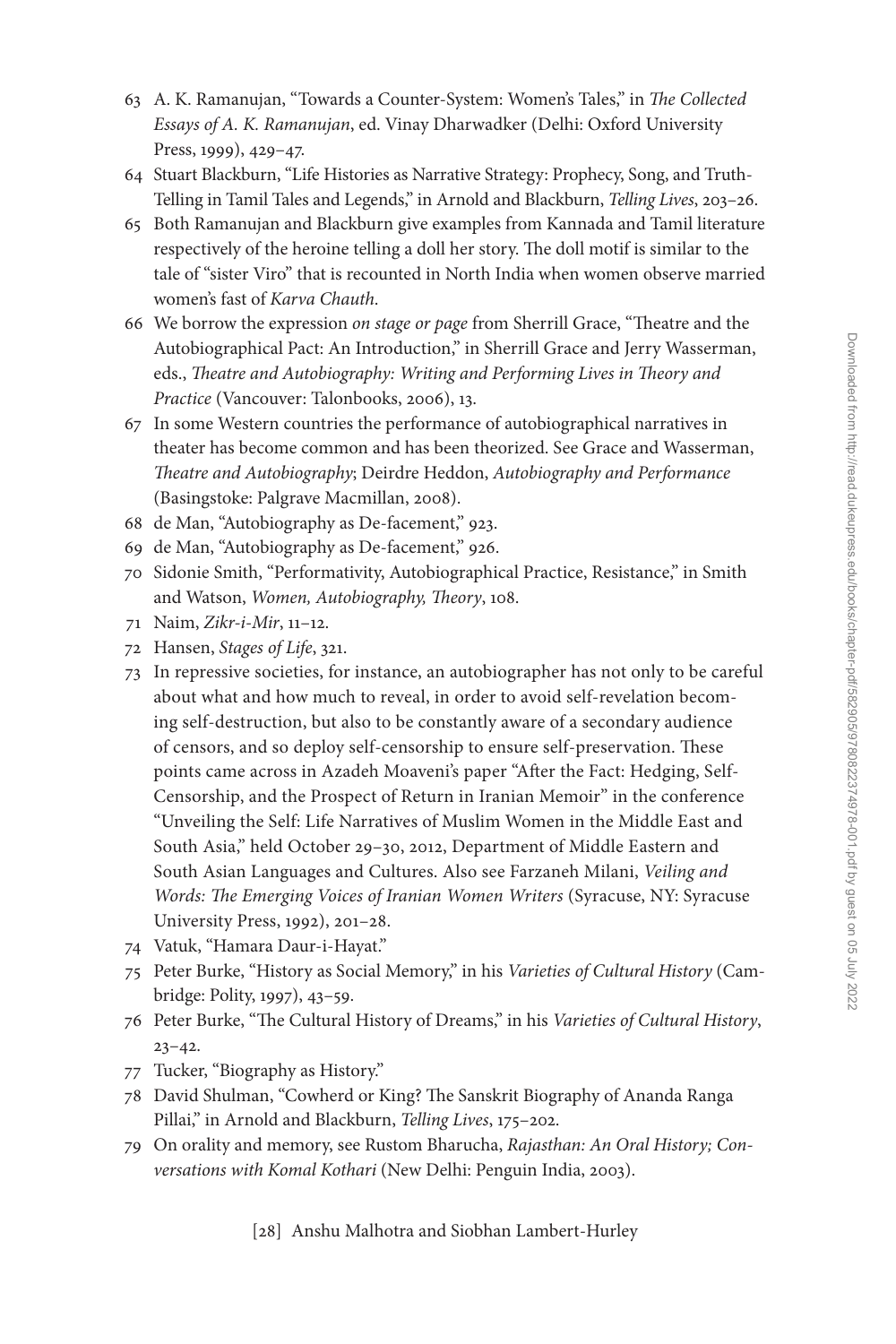- <span id="page-27-0"></span>63 A. K. Ramanujan, "Towards a Counter-System: Women's Tales," in *The Collected Essays of A. K. Ramanujan*, ed. Vinay Dharwadker (Delhi: Oxford University Press, 1999), 429–47.
- 64 Stuart Blackburn, "Life Histories as Narrative Strategy: Prophecy, Song, and Truth-Telling in Tamil Tales and Legends," in Arnold and Blackburn, *Telling Lives*, 203–26.
- 65 Both Ramanujan and Blackburn give examples from Kannada and Tamil literature respectively of the heroine telling a doll her story. The doll motif is similar to the tale of "sister Viro" that is recounted in North India when women observe married women's fast of *Karva Chauth*.
- 66 We borrow the expression *on stage or page* from Sherrill Grace, "Theatre and the Autobiographical Pact: An Introduction," in Sherrill Grace and Jerry Wasserman, eds., *Theatre and Autobiography: Writing and Performing Lives in Theory and Practice* (Vancouver: Talonbooks, 2006), 13.
- 67 In some Western countries the performance of autobiographical narratives in theater has become common and has been theorized. See Grace and Wasserman, *Theatre and Autobiography*; Deirdre Heddon, *Autobiography and Performance* (Basingstoke: Palgrave Macmillan, 2008).
- 68 de Man, "Autobiography as De-facement," 923.
- 69 de Man, "Autobiography as De-facement," 926.
- 70 Sidonie Smith, "Performativity, Autobiographical Practice, Resistance," in Smith and Watson, *Women, Autobiography, Theory*, 108.
- 71 Naim, *Zikr-i-Mir*, 11–12.
- 72 Hansen, *Stages of Life*, 321.
- 73 In repressive societies, for instance, an autobiographer has not only to be careful about what and how much to reveal, in order to avoid self-revelation becoming self-destruction, but also to be constantly aware of a secondary audience of censors, and so deploy self-censorship to ensure self-preservation. These points came across in Azadeh Moaveni's paper "After the Fact: Hedging, Self-Censorship, and the Prospect of Return in Iranian Memoir" in the conference "Unveiling the Self: Life Narratives of Muslim Women in the Middle East and South Asia," held October 29–30, 2012, Department of Middle Eastern and South Asian Languages and Cultures. Also see Farzaneh Milani, *Veiling and Words: The Emerging Voices of Iranian Women Writers* (Syracuse, NY: Syracuse University Press, 1992), 201–28.
- 74 Vatuk, "Hamara Daur-i-Hayat."
- 75 Peter Burke, "History as Social Memory," in his *Varieties of Cultural History* (Cambridge: Polity, 1997), 43–59.
- 76 Peter Burke, "The Cultural History of Dreams," in his *Varieties of Cultural History*,  $23 - 42.$
- 77 Tucker, "Biography as History."
- 78 David Shulman, "Cowherd or King? The Sanskrit Biography of Ananda Ranga Pillai," in Arnold and Blackburn, *Telling Lives*, 175–202.
- 79 On orality and memory, see Rustom Bharucha, *Rajasthan: An Oral History; Conversations with Komal Kothari* (New Delhi: Penguin India, 2003).

[28] Anshu Malhotra and Siobhan Lambert-Hurley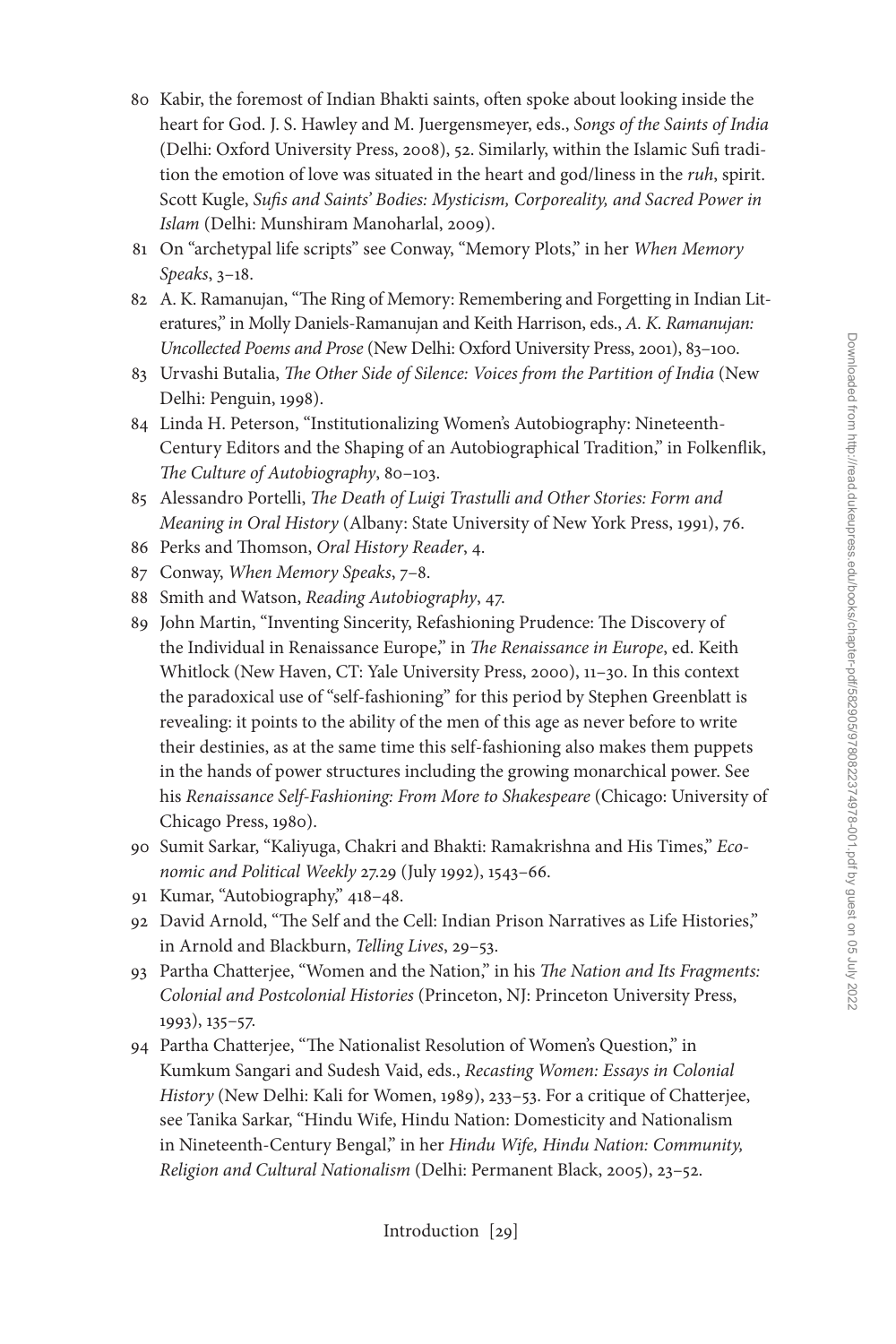- <span id="page-28-0"></span>80 Kabir, the foremost of Indian Bhakti saints, often spoke about looking inside the heart for God. J. S. Hawley and M. Juergensmeyer, eds., *Songs of the Saints of India* (Delhi: Oxford University Press, 2008), 52. Similarly, within the Islamic Sufi tradition the emotion of love was situated in the heart and god/liness in the *ruh*, spirit. Scott Kugle, *Sufis and Saints' Bodies: Mysticism, Corporeality, and Sacred Power in Islam* (Delhi: Munshiram Manoharlal, 2009).
- 81 On "archetypal life scripts" see Conway, "Memory Plots," in her *When Memory Speaks*, 3–18.
- 82 A. K. Ramanujan, "The Ring of Memory: Remembering and Forgetting in Indian Literatures," in Molly Daniels-Ramanujan and Keith Harrison, eds., *A. K. Ramanujan: Uncollected Poems and Prose* (New Delhi: Oxford University Press, 2001), 83–100.
- 83 Urvashi Butalia, *The Other Side of Silence: Voices from the Partition of India* (New Delhi: Penguin, 1998).
- 84 Linda H. Peterson, "Institutionalizing Women's Autobiography: Nineteenth-Century Editors and the Shaping of an Autobiographical Tradition," in Folkenflik, *The Culture of Autobiography*, 80–103.
- 85 Alessandro Portelli, *The Death of Luigi Trastulli and Other Stories: Form and Meaning in Oral History* (Albany: State University of New York Press, 1991), 76.
- 86 Perks and Thomson, *Oral History Reader*, 4.
- 87 Conway, *When Memory Speaks*, 7–8.
- 88 Smith and Watson, *Reading Autobiography*, 47.
- 89 John Martin, "Inventing Sincerity, Refashioning Prudence: The Discovery of the Individual in Renaissance Europe," in *The Renaissance in Europe*, ed. Keith Whitlock (New Haven, CT: Yale University Press, 2000), 11–30. In this context the paradoxical use of "self-fashioning" for this period by Stephen Greenblatt is revealing: it points to the ability of the men of this age as never before to write their destinies, as at the same time this self-fashioning also makes them puppets in the hands of power structures including the growing monarchical power. See his *Renaissance Self-Fashioning: From More to Shakespeare* (Chicago: University of Chicago Press, 1980).
- 90 Sumit Sarkar, "Kaliyuga, Chakri and Bhakti: Ramakrishna and His Times," *Economic and Political Weekly* 27.29 (July 1992), 1543–66.
- 91 Kumar, "Autobiography," 418–48.
- 92 David Arnold, "The Self and the Cell: Indian Prison Narratives as Life Histories," in Arnold and Blackburn, *Telling Lives*, 29–53.
- 93 Partha Chatterjee, "Women and the Nation," in his *The Nation and Its Fragments: Colonial and Postcolonial Histories* (Princeton, NJ: Princeton University Press, 1993), 135–57.
- 94 Partha Chatterjee, "The Nationalist Resolution of Women's Question," in Kumkum Sangari and Sudesh Vaid, eds., *Recasting Women: Essays in Colonial History* (New Delhi: Kali for Women, 1989), 233–53. For a critique of Chatterjee, see Tanika Sarkar, "Hindu Wife, Hindu Nation: Domesticity and Nationalism in Nineteenth-Century Bengal," in her *Hindu Wife, Hindu Nation: Community, Religion and Cultural Nationalism* (Delhi: Permanent Black, 2005), 23–52.

Introduction [29]